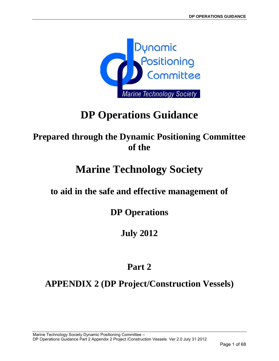

# **DP Operations Guidance**

## **Prepared through the Dynamic Positioning Committee of the**

# **Marine Technology Society**

## **to aid in the safe and effective management of**

**DP Operations** 

**July 2012** 

# **Part 2**

**APPENDIX 2 (DP Project/Construction Vessels)**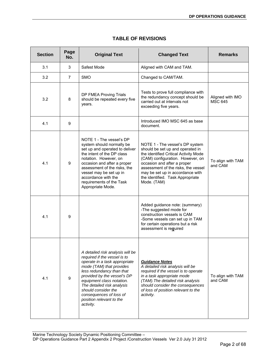| <b>Section</b> | Page<br>No.    | <b>Original Text</b>                                                                                                                                                                                                                                                                                                                            | <b>Changed Text</b>                                                                                                                                                                                                                                                                                           | <b>Remarks</b>                     |  |
|----------------|----------------|-------------------------------------------------------------------------------------------------------------------------------------------------------------------------------------------------------------------------------------------------------------------------------------------------------------------------------------------------|---------------------------------------------------------------------------------------------------------------------------------------------------------------------------------------------------------------------------------------------------------------------------------------------------------------|------------------------------------|--|
| 3.1            | 3              | Safest Mode                                                                                                                                                                                                                                                                                                                                     | Aligned with CAM and TAM.                                                                                                                                                                                                                                                                                     |                                    |  |
| 3.2            | $\overline{7}$ | <b>SMO</b>                                                                                                                                                                                                                                                                                                                                      | Changed to CAM/TAM.                                                                                                                                                                                                                                                                                           |                                    |  |
| 3.2            | 8              | DP FMEA Proving Trials<br>should be repeated every five<br>vears.                                                                                                                                                                                                                                                                               | Tests to prove full compliance with<br>the redundancy concept should be<br>carried out at intervals not<br>exceeding five years.                                                                                                                                                                              | Aligned with IMO<br><b>MSC 645</b> |  |
| 4.1            | 9              |                                                                                                                                                                                                                                                                                                                                                 | Introduced IMO MSC 645 as base<br>document.                                                                                                                                                                                                                                                                   |                                    |  |
| 4.1            | 9              | NOTE 1 - The vessel's DP<br>system should normally be<br>set up and operated to deliver<br>the intent of the DP class<br>notation. However, on<br>occasion and after a proper<br>assessment of the risks, the<br>vessel may be set up in<br>accordance with the<br>requirements of the Task<br>Appropriate Mode.                                | NOTE 1 - The vessel's DP system<br>should be set up and operated in<br>the identified Critical Activity Mode<br>(CAM) configuration. However, on<br>occasion and after a proper<br>assessment of the risks, the vessel<br>may be set up in accordance with<br>the identified. Task Appropriate<br>Mode. (TAM) | To align with TAM<br>and CAM       |  |
| 4.1            | 9              |                                                                                                                                                                                                                                                                                                                                                 | Added guidance note: (summary)<br>-The suggested mode for<br>construction vessels is CAM<br>-Some vessels can set up in TAM<br>for certain operations but a risk<br>assessment is reguired                                                                                                                    |                                    |  |
| 4.1            | 9              | A detailed risk analysis will be<br>required if the vessel is to<br>operate in a task appropriate<br>mode (TAM) that provides<br>less redundancy than that<br>provided by the vessel's DP<br>equipment class notation.<br>The detailed risk analysis<br>should consider the<br>consequences of loss of<br>position relevant to the<br>activity. | <b>Guidance Notes</b><br>A detailed risk analysis will be<br>required if the vessel is to operate<br>in a task appropriate mode<br>(TAM). The detailed risk analysis<br>should consider the consequences<br>of loss of position relevant to the<br>activity.                                                  | To align with TAM<br>and CAM       |  |

### **TABLE OF REVISIONS**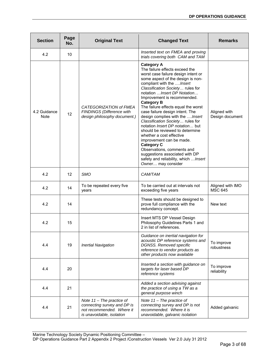| <b>Section</b>              | Page<br>No. | <b>Original Text</b>                                                                                                 | <b>Changed Text</b>                                                                                                                                                                                                                                                                                                                                                                                                                                                                                                                                                                                                                                                                                                    | <b>Remarks</b>                     |  |
|-----------------------------|-------------|----------------------------------------------------------------------------------------------------------------------|------------------------------------------------------------------------------------------------------------------------------------------------------------------------------------------------------------------------------------------------------------------------------------------------------------------------------------------------------------------------------------------------------------------------------------------------------------------------------------------------------------------------------------------------------------------------------------------------------------------------------------------------------------------------------------------------------------------------|------------------------------------|--|
| 4.2                         | 10          |                                                                                                                      | Inserted text on FMEA and proving<br>trials covering both CAM and TAM                                                                                                                                                                                                                                                                                                                                                                                                                                                                                                                                                                                                                                                  |                                    |  |
| 4.2 Guidance<br><b>Note</b> | 12          | CATEGORIZATION of FMEA<br>FINDINGS (Difference with<br>design philosophy document.)                                  | <b>Category A</b><br>The failure effects exceed the<br>worst case failure design intent or<br>some aspect of the design is non-<br>compliant with the Insert<br>Classification Society rules for<br>notation Insert DP Notation<br>Improvement is recommended.<br><b>Category B</b><br>The failure effects equal the worst<br>case failure design intent. The<br>design complies with the Insert<br>Classification Society rules for<br>notation Insert DP notation but<br>should be reviewed to determine<br>whether a cost effective<br>improvement can be made.<br><b>Category C</b><br>Observations, comments and<br>suggestions associated with DP<br>safety and reliability, which  Insert<br>Owner may consider | Aligned with<br>Design document    |  |
| 4.2                         | 12          | <b>SMO</b>                                                                                                           | CAM/TAM                                                                                                                                                                                                                                                                                                                                                                                                                                                                                                                                                                                                                                                                                                                |                                    |  |
| 4.2                         | 14          | To be repeated every five<br>years                                                                                   | To be carried out at intervals not<br>exceeding five years                                                                                                                                                                                                                                                                                                                                                                                                                                                                                                                                                                                                                                                             | Aligned with IMO<br><b>MSC 645</b> |  |
| 4.2                         | 14          |                                                                                                                      | These tests should be designed to<br>prove full compliance with the<br>redundancy concept.                                                                                                                                                                                                                                                                                                                                                                                                                                                                                                                                                                                                                             | New text                           |  |
| 4.2                         | 15          |                                                                                                                      | Insert MTS DP Vessel Design<br>Philosophy Guidelines Parts 1 and<br>2 in list of references.                                                                                                                                                                                                                                                                                                                                                                                                                                                                                                                                                                                                                           |                                    |  |
| 4.4                         | 19          | <b>Inertial Navigation</b>                                                                                           | Guidance on inertial navigation for<br>acoustic DP reference systems and<br><b>DGNSS. Removed specific</b><br>reference to vendor products as<br>other products now available                                                                                                                                                                                                                                                                                                                                                                                                                                                                                                                                          | To improve<br>robustness           |  |
| 4.4                         | 20          |                                                                                                                      | Inserted a section with guidance on<br>targets for laser based DP<br>reference systems                                                                                                                                                                                                                                                                                                                                                                                                                                                                                                                                                                                                                                 | To improve<br>reliability          |  |
| 4.4                         | 21          |                                                                                                                      | Added a section advising against<br>the practice of using a TW as a<br>general purpose winch                                                                                                                                                                                                                                                                                                                                                                                                                                                                                                                                                                                                                           |                                    |  |
| 4.4                         | 21          | Note $11$ – The practice of<br>connecting survey and DP is<br>not recommended. Where it<br>is unavoidable, isolation | Note $11$ – The practice of<br>connecting survey and DP is not<br>recommended. Where it is<br>unavoidable, galvanic isolation                                                                                                                                                                                                                                                                                                                                                                                                                                                                                                                                                                                          | Added galvanic                     |  |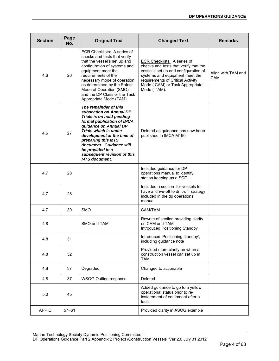| <b>Section</b> | Page<br>No. | <b>Original Text</b>                                                                                                                                                                                                                                                                                                                | <b>Changed Text</b>                                                                                                                                                                                                                   | <b>Remarks</b>            |
|----------------|-------------|-------------------------------------------------------------------------------------------------------------------------------------------------------------------------------------------------------------------------------------------------------------------------------------------------------------------------------------|---------------------------------------------------------------------------------------------------------------------------------------------------------------------------------------------------------------------------------------|---------------------------|
| 4.6            | 26          | <b>ECR Checklists: A series of</b><br>checks and tests that verify<br>that the vessel's set up and<br>configuration of systems and<br>equipment meet the<br>requirements of the<br>necessary mode of operation<br>as determined by the Safest<br>Mode of Operation (SMO)<br>and the DP Class or the Task<br>Appropriate Mode (TAM). | ECR Checklists: A series of<br>checks and tests that verify that the<br>vessel's set up and configuration of<br>systems and equipment meet the<br>requirements of Critical Activity<br>Mode ( CAM) or Task Appropriate<br>Mode (TAM). | Align with TAM and<br>CAM |
| 4.6            | 27          | The remainder of this<br>subsection on Annual DP<br>Trials is on hold pending<br>formal publication of IMCA<br>guidance on Annual DP<br>Trials which is under<br>development at the time of<br>preparing this MTS<br>document. Guidance will<br>be provided in a<br>subsequent revision of this<br><b>MTS</b> document.             | Deleted as guidance has now been<br>published in IMCA M190                                                                                                                                                                            |                           |
| 4.7            | 28          |                                                                                                                                                                                                                                                                                                                                     | Included guidance for DP<br>operations manual to identify<br>station keeping as a SCE                                                                                                                                                 |                           |
| 4.7            | 28          |                                                                                                                                                                                                                                                                                                                                     | Included a section for vessels to<br>have a 'drive-off to drift-off' strategy<br>included in the dp operations<br>manual                                                                                                              |                           |
| 4.7            | 30          | <b>SMO</b>                                                                                                                                                                                                                                                                                                                          | CAM/TAM                                                                                                                                                                                                                               |                           |
| 4.8            |             | SMO and TAM                                                                                                                                                                                                                                                                                                                         | Rewrite of section providing clarity<br>on CAM and TAM.<br><b>Introduced Positioning Standby</b>                                                                                                                                      |                           |
| 4.8            | 31          |                                                                                                                                                                                                                                                                                                                                     | Introduced 'Positioning standby',<br>including guidance note                                                                                                                                                                          |                           |
| 4.8            | 32          |                                                                                                                                                                                                                                                                                                                                     | Provided more clarity on when a<br>construction vessel can set up in<br><b>TAM</b>                                                                                                                                                    |                           |
| 4.8            | 37          | Degraded                                                                                                                                                                                                                                                                                                                            | Changed to actionable                                                                                                                                                                                                                 |                           |
| 4.8            | 37          | WSOG Outline response                                                                                                                                                                                                                                                                                                               | Deleted                                                                                                                                                                                                                               |                           |
| 5.0            | 45          |                                                                                                                                                                                                                                                                                                                                     | Added guidance to go to a yellow<br>operational status prior to re-<br>instatement of equipment after a<br>fault                                                                                                                      |                           |
| APP C          | $57 - 61$   |                                                                                                                                                                                                                                                                                                                                     | Provided clarity in ASOG example                                                                                                                                                                                                      |                           |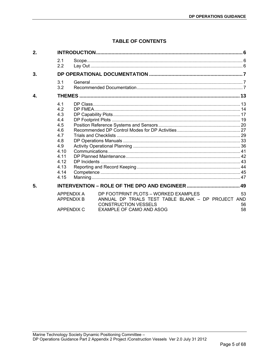#### **TABLE OF CONTENTS**

| 2. |                                                                                                            |  |                                                                                                                                                              |                |  |  |  |  |  |  |  |
|----|------------------------------------------------------------------------------------------------------------|--|--------------------------------------------------------------------------------------------------------------------------------------------------------------|----------------|--|--|--|--|--|--|--|
|    | 2.1<br>2.2                                                                                                 |  |                                                                                                                                                              |                |  |  |  |  |  |  |  |
| 3. |                                                                                                            |  |                                                                                                                                                              |                |  |  |  |  |  |  |  |
|    | 3.1<br>3.2                                                                                                 |  |                                                                                                                                                              |                |  |  |  |  |  |  |  |
| 4. |                                                                                                            |  |                                                                                                                                                              |                |  |  |  |  |  |  |  |
|    | 41<br>4.2<br>4.3<br>4.4<br>4.5<br>4.6<br>4.7<br>4.8<br>4.9<br>4.10<br>4.11<br>4.12<br>4.13<br>4.14<br>4.15 |  |                                                                                                                                                              |                |  |  |  |  |  |  |  |
| 5. |                                                                                                            |  |                                                                                                                                                              |                |  |  |  |  |  |  |  |
|    | <b>APPENDIX A</b><br><b>APPENDIX B</b><br>APPENDIX C                                                       |  | DP FOOTPRINT PLOTS - WORKED EXAMPLES<br>ANNUAL DP TRIALS TEST TABLE BLANK - DP PROJECT AND<br><b>CONSTRUCTION VESSELS</b><br><b>EXAMPLE OF CAMO AND ASOG</b> | 53<br>56<br>58 |  |  |  |  |  |  |  |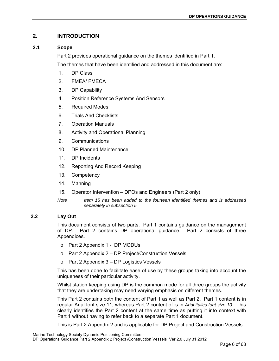### **2. INTRODUCTION**

#### **2.1 Scope**

Part 2 provides operational guidance on the themes identified in Part 1.

The themes that have been identified and addressed in this document are:

- 1. DP Class
- 2. FMEA/ FMECA
- 3. DP Capability
- 4. Position Reference Systems And Sensors
- 5. Required Modes
- 6. Trials And Checklists
- 7. Operation Manuals
- 8. Activity and Operational Planning
- 9. Communications
- 10. DP Planned Maintenance
- 11. DP Incidents
- 12. Reporting And Record Keeping
- 13. Competency
- 14. Manning
- 15. Operator Intervention DPOs and Engineers (Part 2 only)
- *Note Item 15 has been added to the fourteen identified themes and is addressed separately in subsection 5.*

#### **2.2 Lay Out**

This document consists of two parts. Part 1 contains guidance on the management of DP. Part 2 contains DP operational guidance. Part 2 consists of three Appendices.

- o Part 2 Appendix 1 DP MODUs
- o Part 2 Appendix 2 DP Project/Construction Vessels
- o Part 2 Appendix 3 DP Logistics Vessels

This has been done to facilitate ease of use by these groups taking into account the uniqueness of their particular activity.

Whilst station keeping using DP is the common mode for all three groups the activity that they are undertaking may need varying emphasis on different themes.

This Part 2 contains both the content of Part 1 as well as Part 2. Part 1 content is in regular Arial font size 11, whereas Part 2 content of is in *Arial italics font size 10.* This clearly identifies the Part 2 content at the same time as putting it into context with Part 1 without having to refer back to a separate Part 1 document.

This is Part 2 Appendix 2 and is applicable for DP Project and Construction Vessels.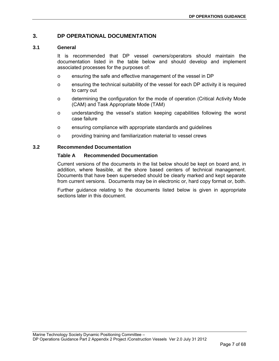### **3. DP OPERATIONAL DOCUMENTATION**

#### **3.1 General**

It is recommended that DP vessel owners/operators should maintain the documentation listed in the table below and should develop and implement associated processes for the purposes of:

- o ensuring the safe and effective management of the vessel in DP
- o ensuring the technical suitability of the vessel for each DP activity it is required to carry out
- o determining the configuration for the mode of operation (Critical Activity Mode (CAM) and Task Appropriate Mode (TAM)
- o understanding the vessel's station keeping capabilities following the worst case failure
- o ensuring compliance with appropriate standards and guidelines
- o providing training and familiarization material to vessel crews

#### **3.2 Recommended Documentation**

#### **Table A Recommended Documentation**

Current versions of the documents in the list below should be kept on board and, in addition, where feasible, at the shore based centers of technical management. Documents that have been superseded should be clearly marked and kept separate from current versions. Documents may be in electronic or, hard copy format or, both.

Further guidance relating to the documents listed below is given in appropriate sections later in this document.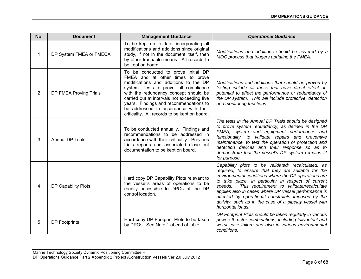| No.            | <b>Document</b>         | <b>Management Guidance</b>                                                                                                                                                                                                                                                                                                                                                             | <b>Operational Guidance</b>                                                                                                                                                                                                                                                                                                                                                                                                                                                |  |  |  |
|----------------|-------------------------|----------------------------------------------------------------------------------------------------------------------------------------------------------------------------------------------------------------------------------------------------------------------------------------------------------------------------------------------------------------------------------------|----------------------------------------------------------------------------------------------------------------------------------------------------------------------------------------------------------------------------------------------------------------------------------------------------------------------------------------------------------------------------------------------------------------------------------------------------------------------------|--|--|--|
| $\mathbf 1$    | DP System FMEA or FMECA | To be kept up to date, incorporating all<br>modifications and additions since original<br>study, if not in the document itself, then<br>by other traceable means. All records to<br>be kept on board.                                                                                                                                                                                  | Modifications and additions should be covered by a<br>MOC process that triggers updating the FMEA.                                                                                                                                                                                                                                                                                                                                                                         |  |  |  |
| $\overline{2}$ | DP FMEA Proving Trials  | To be conducted to prove initial DP<br>FMEA and at other times to prove<br>modifications and additions to the DP<br>system. Tests to prove full compliance<br>with the redundancy concept should be<br>carried out at intervals not exceeding five<br>years. Findings and recommendations to<br>be addressed in accordance with their<br>criticality. All records to be kept on board. | Modifications and additions that should be proven by<br>testing include all those that have direct effect or,<br>potential to affect the performance or redundancy of<br>the DP system. This will include protective, detection<br>and monitoring functions.                                                                                                                                                                                                               |  |  |  |
| 3              | <b>Annual DP Trials</b> | To be conducted annually. Findings and<br>recommendations to be addressed in<br>accordance with their criticality. Previous<br>trials reports and associated close out<br>documentation to be kept on board.                                                                                                                                                                           | The tests in the Annual DP Trials should be designed<br>to prove system redundancy, as defined in the DP<br>FMEA, system and equipment performance and<br>functionality, to validate repairs and preventive<br>maintenance, to test the operation of protection and<br>detection devices and their response so as to<br>demonstrate that the vessel's DP system remains fit<br>for purpose.                                                                                |  |  |  |
| 4              | DP Capability Plots     | Hard copy DP Capability Plots relevant to<br>the vessel's areas of operations to be<br>readily accessible to DPOs at the DP<br>control location.                                                                                                                                                                                                                                       | Capability plots to be validated/ recalculated, as<br>required, to ensure that they are suitable for the<br>environmental conditions where the DP operations are<br>to take place, in particular in respect of current<br>This requirement to validate/recalculate<br>speeds.<br>applies also in cases where DP vessel performance is<br>affected by operational constraints imposed by the<br>activity, such as in the case of a pipelay vessel with<br>horizontal loads. |  |  |  |
| 5              | <b>DP Footprints</b>    | Hard copy DP Footprint Plots to be taken<br>by DPOs. See Note 1 at end of table.                                                                                                                                                                                                                                                                                                       | DP Footprint Plots should be taken regularly in various<br>power/thruster combinations, including fully intact and<br>worst case failure and also in various environmental<br>conditions.                                                                                                                                                                                                                                                                                  |  |  |  |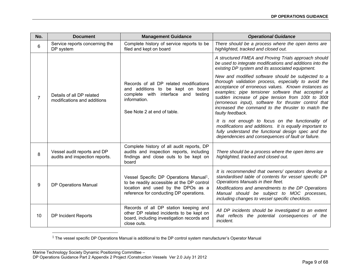| No.            | <b>Document</b>                                               | <b>Management Guidance</b>                                                                                                                                                         | <b>Operational Guidance</b>                                                                                                                                                                                                                                                                                                                                                                                   |  |  |  |
|----------------|---------------------------------------------------------------|------------------------------------------------------------------------------------------------------------------------------------------------------------------------------------|---------------------------------------------------------------------------------------------------------------------------------------------------------------------------------------------------------------------------------------------------------------------------------------------------------------------------------------------------------------------------------------------------------------|--|--|--|
| 6              | Service reports concerning the<br>DP system                   | Complete history of service reports to be<br>filed and kept on board                                                                                                               | There should be a process where the open items are<br>highlighted, tracked and closed out.                                                                                                                                                                                                                                                                                                                    |  |  |  |
|                |                                                               |                                                                                                                                                                                    | A structured FMEA and Proving Trials approach should<br>be used to integrate modifications and additions into the<br>existing DP system and its associated equipment.                                                                                                                                                                                                                                         |  |  |  |
| $\overline{7}$ | Details of all DP related<br>modifications and additions      | Records of all DP related modifications<br>and additions to be kept on board<br>complete with interface and testing<br>information.<br>See Note 2 at end of table.                 | New and modified software should be subjected to a<br>thorough validation process, especially to avoid the<br>acceptance of erroneous values. Known instances as<br>examples; pipe tensioner software that accepted a<br>sudden increase of pipe tension from 100t to 300t<br>(erroneous input), software for thruster control that<br>increased the command to the thruster to match the<br>faulty feedback. |  |  |  |
|                |                                                               |                                                                                                                                                                                    | It is not enough to focus on the functionality of<br>modifications and additions. It is equally important to<br>fully understand the functional design spec and the<br>dependencies and consequences of fault or failure.                                                                                                                                                                                     |  |  |  |
| 8              | Vessel audit reports and DP<br>audits and inspection reports. | Complete history of all audit reports, DP<br>audits and inspection reports, including<br>findings and close outs to be kept on<br>board                                            | There should be a process where the open items are<br>highlighted, tracked and closed out.                                                                                                                                                                                                                                                                                                                    |  |  |  |
| 9              | <b>DP Operations Manual</b>                                   | Vessel Specific DP Operations Manual <sup>1</sup> ,<br>to be readily accessible at the DP control<br>location and used by the DPOs as a<br>reference for conducting DP operations. | It is recommended that owners/ operators develop a<br>standardised table of contents for vessel specific DP<br>Operations Manuals in their fleet.<br>Modifications and amendments to the DP Operations<br>Manual should be subject to MOC processes,<br>including changes to vessel specific checklists.                                                                                                      |  |  |  |
| 10             | DP Incident Reports                                           | Records of all DP station keeping and<br>other DP related incidents to be kept on<br>board, including investigation records and<br>close outs.                                     | All DP incidents should be investigated to an extent<br>that reflects the potential consequences of the<br>incident.                                                                                                                                                                                                                                                                                          |  |  |  |

 $<sup>1</sup>$  The vessel specific DP Operations Manual is additional to the DP control system manufacturer's Operator Manual</sup>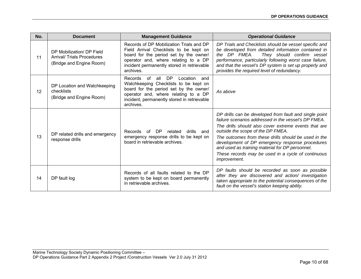| No. | <b>Document</b>                                                                            | <b>Management Guidance</b>                                                                                                                                                                                                                   | <b>Operational Guidance</b>                                                                                                                                                                                                                                                                                                                                                                                                                            |  |  |  |
|-----|--------------------------------------------------------------------------------------------|----------------------------------------------------------------------------------------------------------------------------------------------------------------------------------------------------------------------------------------------|--------------------------------------------------------------------------------------------------------------------------------------------------------------------------------------------------------------------------------------------------------------------------------------------------------------------------------------------------------------------------------------------------------------------------------------------------------|--|--|--|
| 11  | DP Mobilization/ DP Field<br><b>Arrival/ Trials Procedures</b><br>(Bridge and Engine Room) | Records of DP Mobilization Trials and DP<br>Field Arrival Checklists to be kept on<br>board for the period set by the owner/<br>operator and, where relating to a DP<br>incident permanently stored in retrievable<br>archives.              | DP Trials and Checklists should be vessel specific and<br>be developed from detailed information contained in<br>the DP FMEA.<br>They should confirm vessel<br>performance, particularly following worst case failure,<br>and that the vessel's DP system is set up properly and<br>provides the required level of redundancy.                                                                                                                         |  |  |  |
| 12  | DP Location and Watchkeeping<br>checklists<br>(Bridge and Engine Room)                     | DP.<br><b>Records</b><br>of<br>all<br>Location<br>and<br>Watchkeeping Checklists to be kept on<br>board for the period set by the owner/<br>operator and, where relating to a DP<br>incident, permanently stored in retrievable<br>archives. | As above                                                                                                                                                                                                                                                                                                                                                                                                                                               |  |  |  |
| 13  | DP related drills and emergency<br>response drills                                         | drills<br>Records of<br>DP.<br>related<br>and<br>emergency response drills to be kept on<br>board in retrievable archives.                                                                                                                   | DP drills can be developed from fault and single point<br>failure scenarios addressed in the vessel's DP FMEA.<br>The drills should also cover extreme events that are<br>outside the scope of the DP FMEA.<br>The outcomes from these drills should be used in the<br>development of DP emergency response procedures<br>and used as training material for DP personnel.<br>These records may be used in a cycle of continuous<br><i>improvement.</i> |  |  |  |
| 14  | DP fault log                                                                               | Records of all faults related to the DP<br>system to be kept on board permanently<br>in retrievable archives.                                                                                                                                | DP faults should be recorded as soon as possible<br>after they are discovered and action/ investigation<br>taken appropriate to the potential consequences of the<br>fault on the vessel's station keeping ability.                                                                                                                                                                                                                                    |  |  |  |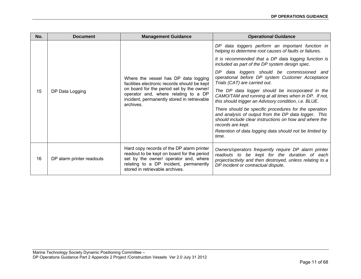| No. | <b>Document</b>           | <b>Management Guidance</b>                                                                                                                                                                                    | <b>Operational Guidance</b>                                                                                                                                                                              |  |  |  |  |
|-----|---------------------------|---------------------------------------------------------------------------------------------------------------------------------------------------------------------------------------------------------------|----------------------------------------------------------------------------------------------------------------------------------------------------------------------------------------------------------|--|--|--|--|
|     |                           |                                                                                                                                                                                                               | DP data loggers perform an important function in<br>helping to determine root causes of faults or failures.                                                                                              |  |  |  |  |
|     |                           |                                                                                                                                                                                                               | It is recommended that a DP data logging function is<br>included as part of the DP system design spec.                                                                                                   |  |  |  |  |
| 15  |                           | Where the vessel has DP data logging<br>facilities electronic records should be kept                                                                                                                          | DP data loggers should be commissioned and<br>operational before DP system Customer Acceptance<br>Trials (CAT) are carried out.                                                                          |  |  |  |  |
|     | DP Data Logging           | on board for the period set by the owner/<br>operator and, where relating to a DP<br>incident, permanently stored in retrievable<br>archives.                                                                 | The DP data logger should be incorporated in the<br>CAMO/TAM and running at all times when in DP. If not,<br>this should trigger an Advisory condition, i.e. BLUE.                                       |  |  |  |  |
|     |                           |                                                                                                                                                                                                               | There should be specific procedures for the operation<br>and analysis of output from the DP data logger. This<br>should include clear instructions on how and where the<br>records are kept.             |  |  |  |  |
|     |                           |                                                                                                                                                                                                               | Retention of data logging data should not be limited by<br>time.                                                                                                                                         |  |  |  |  |
| 16  | DP alarm printer readouts | Hard copy records of the DP alarm printer<br>readout to be kept on board for the period<br>set by the owner/ operator and, where<br>relating to a DP incident, permanently<br>stored in retrievable archives. | Owners/operators frequently require DP alarm printer<br>readouts to be kept for the duration of each<br>project/activity and then destroyed, unless relating to a<br>DP incident or contractual dispute. |  |  |  |  |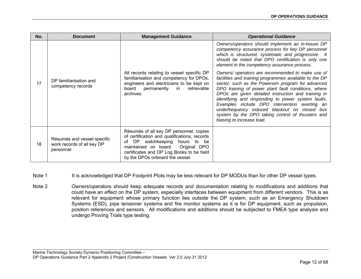| No. | <b>Document</b>                                                        | <b>Management Guidance</b>                                                                                                                                                                                                                           | <b>Operational Guidance</b>                                                                                                                                                                                                                                                                                                                                                                                                                                                                                             |  |
|-----|------------------------------------------------------------------------|------------------------------------------------------------------------------------------------------------------------------------------------------------------------------------------------------------------------------------------------------|-------------------------------------------------------------------------------------------------------------------------------------------------------------------------------------------------------------------------------------------------------------------------------------------------------------------------------------------------------------------------------------------------------------------------------------------------------------------------------------------------------------------------|--|
| 17  |                                                                        |                                                                                                                                                                                                                                                      | Owners/operators should implement an in-house DP<br>competency assurance process for key DP personnel<br>which is structured, systematic and progressive. It<br>should be noted that DPO certification is only one<br>element in the competency assurance process.                                                                                                                                                                                                                                                      |  |
|     | DP familiarisation and<br>competency records                           | All records relating to vessel specific DP<br>familiarisation and competency for DPOs,<br>engineers and electricians to be kept on<br>permanently<br>board<br>in in<br>retrievable<br>archives.                                                      | Owners/ operators are recommended to make use of<br>facilities and training programmes available to the DP<br>sector, such as the Powersim program for advanced<br>DPO training of power plant fault conditions, where<br>DPOs are given detailed instruction and training in<br>identifying and responding to power system faults.<br>Examples include DPO intervention averting an<br>underfrequency induced blackout on closed bus<br>system by the DPO taking control of thrusters and<br>biasing to increase load. |  |
| 18  | Résumés and vessel specific<br>work records of all key DP<br>personnel | Résumés of all key DP personnel, copies<br>of certification and qualifications, records<br>watchkeeping hours to be<br>DP.<br>of<br>maintained on board. Original DPO<br>certificates and DP Log Books to be held<br>by the DPOs onboard the vessel. |                                                                                                                                                                                                                                                                                                                                                                                                                                                                                                                         |  |

- Note 1 It is acknowledged that DP Footprint Plots may be less relevant for DP MODUs than for other DP vessel types.
- Note 2 Owners/operators should keep adequate records and documentation relating to modifications and additions that could have an effect on the DP system, especially interfaces between equipment from different vendors. This is as relevant for equipment whose primary function lies outside the DP system, such as an Emergency Shutdown Systems (ESD), pipe tensioner systems and fire monitor systems as it is for DP equipment, such as propulsion, position references and sensors. All modifications and additions should be subjected to FMEA type analysis and undergo Proving Trials type testing.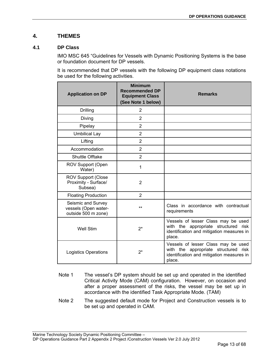### **4. THEMES**

#### **4.1 DP Class**

IMO MSC 645 "Guidelines for Vessels with Dynamic Positioning Systems is the base or foundation document for DP vessels.

It is recommended that DP vessels with the following DP equipment class notations be used for the following activities.

| <b>Application on DP</b>                                          | <b>Minimum</b><br><b>Recommended DP</b><br><b>Equipment Class</b><br>(See Note 1 below) | <b>Remarks</b>                                                                                                                     |
|-------------------------------------------------------------------|-----------------------------------------------------------------------------------------|------------------------------------------------------------------------------------------------------------------------------------|
| Drilling                                                          | $\overline{2}$                                                                          |                                                                                                                                    |
| Diving                                                            | $\overline{2}$                                                                          |                                                                                                                                    |
| Pipelay                                                           | $\overline{2}$                                                                          |                                                                                                                                    |
| <b>Umbilical Lay</b>                                              | $\overline{2}$                                                                          |                                                                                                                                    |
| Lifting                                                           | $\overline{2}$                                                                          |                                                                                                                                    |
| Accommodation                                                     | $\overline{2}$                                                                          |                                                                                                                                    |
| <b>Shuttle Offtake</b>                                            | $\overline{2}$                                                                          |                                                                                                                                    |
| ROV Support (Open<br>Water)                                       | 1                                                                                       |                                                                                                                                    |
| <b>ROV Support (Close</b><br>Proximity - Surface/<br>Subsea)      | $\overline{2}$                                                                          |                                                                                                                                    |
| <b>Floating Production</b>                                        | $\overline{2}$                                                                          |                                                                                                                                    |
| Seismic and Survey<br>vessels (Open water-<br>outside 500 m zone) | $***$                                                                                   | Class in accordance with contractual<br>requirements                                                                               |
| <b>Well Stim</b>                                                  | $2^*$                                                                                   | Vessels of lesser Class may be used<br>with the appropriate structured risk<br>identification and mitigation measures in<br>place. |
| <b>Logistics Operations</b>                                       | $2^*$                                                                                   | Vessels of lesser Class may be used<br>with the appropriate structured risk<br>identification and mitigation measures in<br>place. |

- Note 1 The vessel's DP system should be set up and operated in the identified Critical Activity Mode (CAM) configuration. However, on occasion and after a proper assessment of the risks, the vessel may be set up in accordance with the identified Task Appropriate Mode. (TAM)
- Note 2 The suggested default mode for Project and Construction vessels is to be set up and operated in CAM.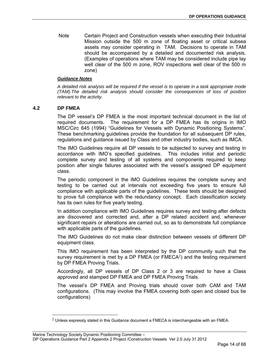Note Certain Project and Construction vessels when executing their Industrial Mission outside the 500 m zone of floating asset or critical subsea assets may consider operating in TAM. Decisions to operate in TAM should be accompanied by a detailed and documented risk analysis. (Examples of operations where TAM may be considered include pipe lay well clear of the 500 m zone, ROV inspections well clear of the 500 m zone)

#### *Guidance Notes*

*A detailed risk analysis will be required if the vessel is to operate in a task appropriate mode (TAM).The detailed risk analysis should consider the consequences of loss of position relevant to the activity.* 

#### **4.2 DP FMEA**

l

The DP vessel's DP FMEA is the most important technical document in the list of required documents. The requirement for a DP FMEA has its origins in IMO MSC/Circ 645 (1994) "Guidelines for Vessels with Dynamic Positioning Systems". These benchmarking guidelines provide the foundation for all subsequent DP rules, regulations and guidance issued by Class and other industry bodies, such as IMCA.

The IMO Guidelines require all DP vessels to be subjected to survey and testing in accordance with IMO's specified guidelines. This includes initial and periodic complete survey and testing of all systems and components required to keep position after single failures associated with the vessel's assigned DP equipment class.

The periodic component in the IMO Guidelines requires the complete survey and testing to be carried out at intervals not exceeding five years to ensure full compliance with applicable parts of the guidelines. These tests should be designed to prove full compliance with the redundancy concept. Each classification society has its own rules for five yearly testing.

In addition compliance with IMO Guidelines requires survey and testing after defects are discovered and corrected and, after a DP related accident and, whenever significant repairs or alterations are carried out, so as to demonstrate full compliance with applicable parts of the guidelines.

The IMO Guidelines do not make clear distinction between vessels of different DP equipment class.

This IMO requirement has been interpreted by the DP community such that the survey requirement is met by a DP FMEA (or FMECA<sup>2</sup>) and the testing requirement by DP FMEA Proving Trials.

Accordingly, all DP vessels of DP Class 2 or 3 are required to have a Class approved and stamped DP FMEA and DP FMEA Proving Trials.

The vessel's DP FMEA and Proving trials should cover both CAM and TAM configurations. (This may involve the FMEA covering both open and closed bus tie configurations)

 $2$  Unless expressly stated in this Guidance document a FMECA is interchangeable with an FMEA.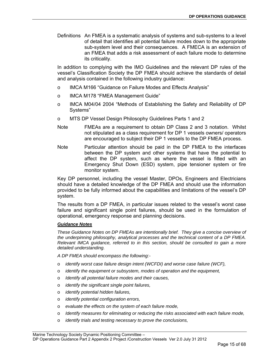Definitions An FMEA is a systematic analysis of systems and sub-systems to a level of detail that identifies all potential failure modes down to the appropriate sub-system level and their consequences. A FMECA is an extension of an FMEA that adds a risk assessment of each failure mode to determine its criticality.

In addition to complying with the IMO Guidelines and the relevant DP rules of the vessel's Classification Society the DP FMEA should achieve the standards of detail and analysis contained in the following industry guidance:

- o IMCA M166 "Guidance on Failure Modes and Effects Analysis"
- o IMCA M178 "FMEA Management Guide"
- o IMCA M04/04 2004 "Methods of Establishing the Safety and Reliability of DP Systems"
- o MTS DP Vessel Design Philosophy Guidelines Parts 1 and 2
- Note FMEAs are a requirement to obtain DP Class 2 and 3 notation. Whilst not stipulated as a class requirement for DP 1 vessels owners/ operators are encouraged to subject their DP 1 vessels to the DP FMEA process.
- Note Particular attention should be paid in the DP FMEA to the interfaces between the DP system and other systems that have the potential to affect the DP system, such as where the vessel is fitted with an Emergency Shut Down (ESD) system, pipe tensioner system or fire monitor system.

Key DP personnel, including the vessel Master, DPOs, Engineers and Electricians should have a detailed knowledge of the DP FMEA and should use the information provided to be fully informed about the capabilities and limitations of the vessel's DP system.

The results from a DP FMEA, in particular issues related to the vessel's worst case failure and significant single point failures, should be used in the formulation of operational, emergency response and planning decisions.

#### *Guidance Notes*

*These Guidance Notes on DP FMEAs are intentionally brief. They give a concise overview of the underpinning philosophy, analytical processes and the technical content of a DP FMEA. Relevant IMCA guidance, referred to in this section, should be consulted to gain a more detailed understanding.* 

*A DP FMEA should encompass the following:-* 

- o *identify worst case failure design intent (WCFDI) and worse case failure (WCF),*
- o *identify the equipment or subsystem, modes of operation and the equipment,*
- o *Identify all potential failure modes and their causes,*
- o *identify the significant single point failures,*
- o *identify potential hidden failures,*
- o *identify potential configuration errors,*
- o *evaluate the effects on the system of each failure mode,*
- o *Identify measures for eliminating or reducing the risks associated with each failure mode,*
- o *identify trials and testing necessary to prove the conclusions,*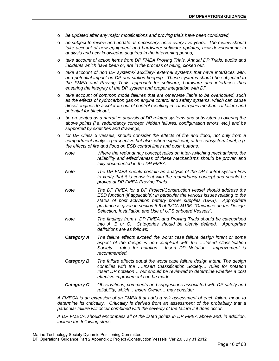- o *be updated after any major modifications and proving trials have been conducted,*
- o *be subject to review and update as necessary, once every five years. The review should take account of new equipment and hardware/ software updates, new developments in analysis and new knowledge acquired in the intervening period,*
- o *take account of action items from DP FMEA Proving Trials, Annual DP Trials, audits and incidents which have been or, are in the process of being, closed out,*
- o *take account of non DP systems/ auxiliary/ external systems that have interfaces with, and potential impact on DP and station keeping. These systems should be subjected to the FMEA and Proving Trials approach for software, hardware and interfaces thus ensuring the integrity of the DP system and proper integration with DP,*
- o *take account of common mode failures that are otherwise liable to be overlooked, such as the effects of hydrocarbon gas on engine control and safety systems, which can cause diesel engines to accelerate out of control resulting in catastrophic mechanical failure and potential for black out,*
- o *be presented as a narrative analysis of DP related systems and subsystems covering the above points (i.e. redundancy concept, hidden failures, configuration errors, etc.) and be supported by sketches and drawings,*
- o *for DP Class 3 vessels, should consider the effects of fire and flood, not only from a compartment analysis perspective but also, where significant, at the subsystem level, e.g. the effects of fire and flood on ESD control lines and push buttons.* 
	- *Note Where the redundancy concept relies on inter-switching mechanisms, the reliability and effectiveness of these mechanisms should be proven and fully documented in the DP FMEA.*
	- *Note The DP FMEA should contain an analysis of the DP control system I/Os to verify that it is consistent with the redundancy concept and should be proved at DP FMEA Proving Trials.*
	- *Note The DP FMEA for a DP Project/Construction vessel should address the ESD function (if applicable); in particular the various issues relating to the status of post activation battery power supplies (UPS). Appropriate guidance is given in section 6.6 of IMCA M196, "Guidance on the Design, Selection, Installation and Use of UPS onboard Vessels".*
	- *Note The findings from a DP FMEA and Proving Trials should be categorised into A, B or C. Categories should be clearly defined. Appropriate definitions are as follows;*
	- *Category A The failure effects exceed the worst case failure design intent or some aspect of the design is non-compliant with the ….Insert Classification Society… rules for notation …Insert DP Notation… Improvement is recommended.*
	- *Category B The failure effects equal the worst case failure design intent. The design complies with the ….Insert Classification Society… rules for notation Insert DP notation… but should be reviewed to determine whether a cost effective improvement can be made.*
	- *Category C Observations, comments and suggestions associated with DP safety and reliability, which …Insert Owner… may consider*

*A FMECA is an extension of an FMEA that adds a risk assessment of each failure mode to determine its criticality. Criticality is derived from an assessment of the probability that a particular failure will occur combined with the severity of the failure if it does occur.* 

*A DP FMECA should encompass all of the listed points in DP FMEA above and, in addition, include the following steps;*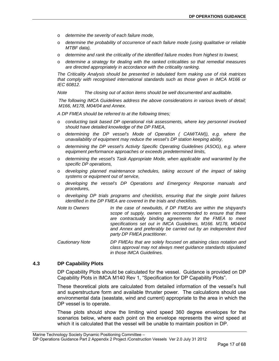- o *determine the severity of each failure mode,*
- o *determine the probability of occurrence of each failure mode (using qualitative or reliable MTBF data),*
- o *determine and rank the criticality of the identified failure modes from highest to lowest,*
- o *determine a strategy for dealing with the ranked criticalities so that remedial measures are directed appropriately in accordance with the criticality ranking.*

*The Criticality Analysis should be presented in tabulated form making use of risk matrices that comply with recognised international standards such as those given in IMCA M166 or IEC 60812.* 

*Note The closing out of action items should be well documented and auditable.* 

*The following IMCA Guidelines address the above considerations in various levels of detail; M166, M178, M04/04 and Annex.* 

*A DP FMEA should be referred to at the following times;* 

- o *conducting task based DP operational risk assessments, where key personnel involved should have detailed knowledge of the DP FMEA,*
- o *determining the DP vessel's Mode of Operation ( CAM/TAM)), e.g. where the unavailability of equipment may reduce the vessel's DP station keeping ability,*
- o *determining the DP vessel's Activity Specific Operating Guidelines (ASOG), e.g. where equipment performance approaches or exceeds predetermined limits,*
- o *determining the vessel's Task Appropriate Mode, when applicable and warranted by the specific DP operations,*
- o *developing planned maintenance schedules, taking account of the impact of taking systems or equipment out of service,*
- o *developing the vessel's DP Operations and Emergency Response manuals and procedures,*
- o *developing DP trials programs and checklists, ensuring that the single point failures identified in the DP FMEA are covered in the trials and checklists.*
- *Note to Owners In the case of newbuilds, if DP FMEAs are within the shipyard's scope of supply, owners are recommended to ensure that there are contractually binding agreements for the FMEA to meet specifications set out in IMCA Guidelines, M166. M178, M04/04 and Annex and preferably be carried out by an independent third party DP FMEA practitioner.*
- *Cautionary Note DP FMEAs that are solely focused on attaining class notation and class approval may not always meet guidance standards stipulated in those IMCA Guidelines.*

#### **4.3 DP Capability Plots**

DP Capability Plots should be calculated for the vessel. Guidance is provided on DP Capability Plots in IMCA M140 Rev 1, "Specification for DP Capability Plots".

These theoretical plots are calculated from detailed information of the vessel's hull and superstructure form and available thruster power. The calculations should use environmental data (seastate, wind and current) appropriate to the area in which the DP vessel is to operate.

These plots should show the limiting wind speed 360 degree envelopes for the scenarios below, where each point on the envelope represents the wind speed at which it is calculated that the vessel will be unable to maintain position in DP.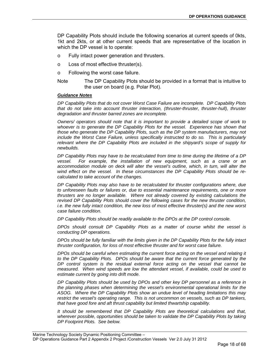DP Capability Plots should include the following scenarios at current speeds of 0kts, 1kt and 2kts, or at other current speeds that are representative of the location in which the DP vessel is to operate:

- o Fully intact power generation and thrusters.
- o Loss of most effective thruster(s).
- o Following the worst case failure.
- Note The DP Capability Plots should be provided in a format that is intuitive to the user on board (e.g. Polar Plot).

#### *Guidance Notes*

*DP Capability Plots that do not cover Worst Case Failure are incomplete. DP Capability Plots that do not take into account thruster interaction, (thruster-thruster, thruster-hull), thruster degradation and thruster barred zones are incomplete.* 

*Owners/ operators should note that it is important to provide a detailed scope of work to whoever is to generate the DP Capability Plots for the vessel. Experience has shown that those who generate the DP Capability Plots, such as the DP system manufacturers, may not include the Worst Case Failure, unless specifically instructed to do so. This is particularly relevant where the DP Capability Plots are included in the shipyard's scope of supply for newbuilds.* 

*DP Capability Plots may have to be recalculated from time to time during the lifetime of a DP vessel. For example, the installation of new equipment, such as a crane or an accommodation module on deck will alter the vessel's outline, which, in turn, will alter the wind effect on the vessel. In these circumstances the DP Capability Plots should be recalculated to take account of the changes.* 

*DP Capability Plots may also have to be recalculated for thruster configurations where, due to unforeseen faults or failures or, due to essential maintenance requirements, one or more thrusters are no longer available. Where not already covered by existing calculations the revised DP Capability Plots should cover the following cases for the new thruster condition, i.e. the new fully intact condition, the new loss of most effective thruster(s) and the new worst case failure condition.* 

*DP Capability Plots should be readily available to the DPOs at the DP control console.* 

*DPOs should consult DP Capability Plots as a matter of course whilst the vessel is conducting DP operations.* 

*DPOs should be fully familiar with the limits given in the DP Capability Plots for the fully intact thruster configuration, for loss of most effective thruster and for worst case failure.* 

*DPOs should be careful when estimating the current force acting on the vessel and relating it to the DP Capability Plots. DPOs should be aware that the current force generated by the DP control system is the residual external force acting on the vessel that cannot be measured. When wind speeds are low the attendant vessel, if available, could be used to estimate current by going into drift mode.* 

*DP Capability Plots should be used by DPOs and other key DP personnel as a reference in the planning phases when determining the vessel's environmental operational limits for the ASOG. Where the DP Capability Plots show an undue level of heading limitations this may restrict the vessel's operating range. This is not uncommon on vessels, such as DP tankers, that have good fore and aft thrust capability but limited thwartship capability.* 

*It should be remembered that DP Capability Plots are theoretical calculations and that, wherever possible, opportunities should be taken to validate the DP Capability Plots by taking DP Footprint Plots. See below.*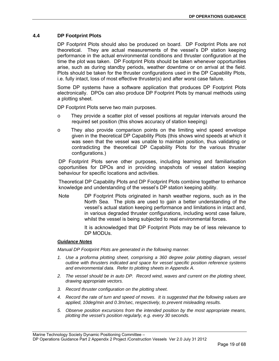#### **4.4 DP Footprint Plots**

DP Footprint Plots should also be produced on board. DP Footprint Plots are not theoretical. They are actual measurements of the vessel's DP station keeping performance in the actual environmental conditions and thruster configuration at the time the plot was taken. DP Footprint Plots should be taken whenever opportunities arise, such as during standby periods, weather downtime or on arrival at the field. Plots should be taken for the thruster configurations used in the DP Capability Plots, i.e. fully intact, loss of most effective thruster(s) and after worst case failure.

Some DP systems have a software application that produces DP Footprint Plots electronically. DPOs can also produce DP Footprint Plots by manual methods using a plotting sheet.

DP Footprint Plots serve two main purposes.

- o They provide a scatter plot of vessel positions at regular intervals around the required set position (this shows accuracy of station keeping)
- o They also provide comparison points on the limiting wind speed envelope given in the theoretical DP Capability Plots (this shows wind speeds at which it was seen that the vessel was unable to maintain position, thus validating or contradicting the theoretical DP Capability Plots for the various thruster configurations.)

DP Footprint Plots serve other purposes, including learning and familiarisation opportunities for DPOs and in providing snapshots of vessel station keeping behaviour for specific locations and activities.

Theoretical DP Capability Plots and DP Footprint Plots combine together to enhance knowledge and understanding of the vessel's DP station keeping ability.

Note DP Footprint Plots originated in harsh weather regions, such as in the North Sea. The plots are used to gain a better understanding of the vessel's actual station keeping performance and limitations in intact and, in various degraded thruster configurations, including worst case failure, whilst the vessel is being subjected to real environmental forces.

> It is acknowledged that DP Footprint Plots may be of less relevance to DP MODUs.

#### *Guidance Notes*

*Manual DP Footprint Plots are generated in the following manner.* 

- *1. Use a proforma plotting sheet, comprising a 360 degree polar plotting diagram, vessel outline with thrusters indicated and space for vessel specific position reference systems and environmental data. Refer to plotting sheets in Appendix A.*
- *2. The vessel should be in auto DP. Record wind, waves and current on the plotting sheet, drawing appropriate vectors.*
- *3. Record thruster configuration on the plotting sheet.*
- *4. Record the rate of turn and speed of moves. It is suggested that the following values are applied, 10deg/min and 0.3m/sec, respectively, to prevent misleading results.*
- *5. Observe position excursions from the intended position by the most appropriate means, plotting the vessel's position regularly, e.g. every 30 seconds.*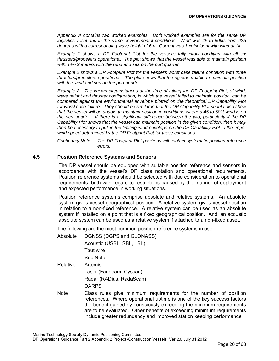*Appendix A contains two worked examples. Both worked examples are for the same DP logisitics vesel and in the same environmental conditions. Wind was 45 to 50kts from 225 degrees with a corresponding wave height of 6m. Current was 1 coincident with wind at 1kt* 

*Example 1 shows a DP Footprint Plot for the vessel's fully intact condition with all six thrusters/propellers operational. The plot shows that the vessel was able to maintain position within +/- 2 meters with the wind and sea on the port quarter.* 

*Example 2 shows a DP Footprint Plot for the vessel's worst case failure condition with three thrusters/propellers operational. The plot shows that the rig was unable to maintain position with the wind and sea on the port quarter.* 

*Example 2 - The known circumstances at the time of taking the DP Footprint Plot, of wind, wave height and thruster configuration, in which the vessel failed to maintain position, can be compared against the environmental envelope plotted on the theoretical DP Capability Plot for worst case failure. They should be similar in that the DP Capability Plot should also show that the vessel will be unable to maintain position in conditions where a 45 to 50kt wind is on the port quarter. If there is a significant difference between the two, particularly if the DP Capability Plot shows that the vessel can maintain position in the given condition, then it may then be necessary to pull in the limiting wind envelope on the DP Capability Plot to the upper wind speed determined by the DP Footprint Plot for these conditions.* 

*Cautionary Note The DP Footprint Plot positions will contain systematic position reference errors.* 

#### **4.5 Position Reference Systems and Sensors**

The DP vessel should be equipped with suitable position reference and sensors in accordance with the vessel's DP class notation and operational requirements. Position reference systems should be selected with due consideration to operational requirements, both with regard to restrictions caused by the manner of deployment and expected performance in working situations.

Position reference systems comprise absolute and relative systems. An absolute system gives vessel geographical position. A relative system gives vessel position in relation to a non-fixed reference. A relative system can be used as an absolute system if installed on a point that is a fixed geographical position. And, an acoustic absolute system can be used as a relative system if attached to a non-fixed asset.

The following are the most common position reference systems in use.

| Absolute    | DGNSS (DGPS and GLONASS)                                                                                                                                                                                                                                                                                                                                            |
|-------------|---------------------------------------------------------------------------------------------------------------------------------------------------------------------------------------------------------------------------------------------------------------------------------------------------------------------------------------------------------------------|
|             | Acoustic (USBL, SBL, LBL)                                                                                                                                                                                                                                                                                                                                           |
|             | Taut wire                                                                                                                                                                                                                                                                                                                                                           |
|             | See Note                                                                                                                                                                                                                                                                                                                                                            |
| Relative    | Artemis                                                                                                                                                                                                                                                                                                                                                             |
|             | Laser (Fanbeam, Cyscan)                                                                                                                                                                                                                                                                                                                                             |
|             | Radar (RADius, RadaScan)                                                                                                                                                                                                                                                                                                                                            |
|             | <b>DARPS</b>                                                                                                                                                                                                                                                                                                                                                        |
| <b>Note</b> | Class rules give minimum requirements for the number of position<br>references. Where operational uptime is one of the key success factors<br>the benefit gained by consciously exceeding the minimum requirements<br>are to be evaluated. Other benefits of exceeding minimum requirements<br>include greater redundancy and improved station keeping performance. |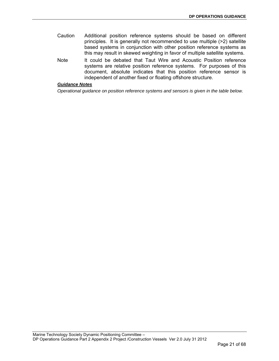- Caution Additional position reference systems should be based on different principles. It is generally not recommended to use multiple (>2) satellite based systems in conjunction with other position reference systems as this may result in skewed weighting in favor of multiple satellite systems.
- Note It could be debated that Taut Wire and Acoustic Position reference systems are relative position reference systems. For purposes of this document, absolute indicates that this position reference sensor is independent of another fixed or floating offshore structure.

#### *Guidance Notes*

*Operational guidance on position reference systems and sensors is given in the table below.*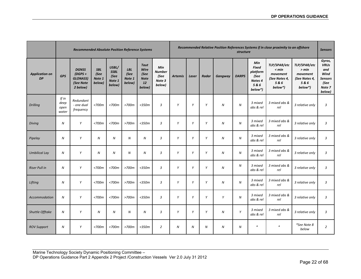|                                    |                                | <b>Recommended Absolute Position Reference Systems</b>                |                                        |                                                  |                                        |                                                            |                                                  |                | Recommended Relative Position References Systems if in close proximity to an offshore<br>structure |       |                           |                  |                                                                                    |                                                                      | <b>Sensors</b>                                                       |                                                                             |
|------------------------------------|--------------------------------|-----------------------------------------------------------------------|----------------------------------------|--------------------------------------------------|----------------------------------------|------------------------------------------------------------|--------------------------------------------------|----------------|----------------------------------------------------------------------------------------------------|-------|---------------------------|------------------|------------------------------------------------------------------------------------|----------------------------------------------------------------------|----------------------------------------------------------------------|-----------------------------------------------------------------------------|
| <b>Application on</b><br><b>DP</b> | <b>GPS</b>                     | <b>DGNSS</b><br>$(DGPS +$<br><b>GLONASS)</b><br>(See Note<br>2 below) | <b>SBL</b><br>(See<br>Note 1<br>below) | USBL/<br><b>SSBL</b><br>(See<br>Note 1<br>below) | <b>LBL</b><br>(See<br>Note 1<br>below) | <b>Taut</b><br>Wire<br>(See<br><b>Note</b><br>12<br>below) | Min<br><b>Number</b><br>(See<br>Note 3<br>below) | <b>Artemis</b> | Laser                                                                                              | Radar | <b>Gangway</b>            | <b>DARPS</b>     | Min<br><b>Fixed</b><br>platform<br>(See<br>Notes <sub>4</sub><br>5&6<br>$below*$ ) | TLP/SPAR/etc<br>< min<br>movement<br>(See Notes 4,<br>5&6<br>below*) | TLP/SPAR/etc<br>> min<br>movement<br>(See Notes 4,<br>5&6<br>below*) | Gyros,<br><b>VRUs</b><br>and<br>Wind<br>Sensors<br>(See<br>Note 7<br>below) |
| <b>Drilling</b>                    | If in<br>deep<br>open<br>water | Redundant<br>- one dual<br>frequency                                  | $<$ 700 $m$                            | $<$ 700 $m$                                      | $>700m$                                | $<$ 350 $m$                                                | $\overline{3}$                                   | Y              | Y                                                                                                  | Y     | $\boldsymbol{\mathsf{N}}$ | $\boldsymbol{N}$ | 3 mixed<br>abs & rel                                                               | 3 mixed abs &<br>rel                                                 | 3 relative only                                                      | $\overline{3}$                                                              |
| Diving                             | N                              | Y                                                                     | $<$ 700 $m$                            | $<$ 700 $m$                                      | $>700m$                                | $<$ 350 $m$                                                | $\overline{3}$                                   | Y              | Y                                                                                                  | Y     | N                         | ${\cal N}$       | 3 mixed<br>abs & rel                                                               | 3 mixed abs &<br>rel                                                 | 3 relative only                                                      | 3                                                                           |
| Pipelay                            | ${\cal N}$                     | Y                                                                     | ${\cal N}$                             | N                                                | N                                      | ${\cal N}$                                                 | 3                                                | Y              | Y                                                                                                  | Y     | N                         | N                | 3 mixed<br>abs & rel                                                               | 3 mixed abs &<br>rel                                                 | 3 relative only                                                      | 3                                                                           |
| <b>Umbilical Lay</b>               | $\boldsymbol{N}$               | Y                                                                     | $\boldsymbol{N}$                       | N                                                | $\boldsymbol{N}$                       | $\boldsymbol{N}$                                           | 3                                                | Y              | Y                                                                                                  | Y     | Ν                         | N                | 3 mixed<br>abs & rel                                                               | 3 mixed abs &<br>rel                                                 | 3 relative only                                                      | 3                                                                           |
| <b>Riser Pull in</b>               | $\boldsymbol{N}$               | Y                                                                     | $<$ 700 $m$                            | $<$ 700 $m$                                      | $>700m$                                | $<$ 350 $m$                                                | $\overline{3}$                                   | Y              | Y                                                                                                  | Y     | $\boldsymbol{N}$          | N                | 3 mixed<br>abs & rel                                                               | 3 mixed abs &<br>rel                                                 | 3 relative only                                                      | $\overline{3}$                                                              |
| Lifting                            | $\boldsymbol{N}$               | Y                                                                     | $<$ 700 $m$                            | $<$ 700 $m$                                      | $>700m$                                | $<$ 350 $m$                                                | $\overline{3}$                                   | Y              | Y                                                                                                  | Y     | $\boldsymbol{N}$          | ${\cal N}$       | 3 mixed<br>abs & rel                                                               | 3 mixed abs &<br>rel                                                 | 3 relative only                                                      | $\overline{3}$                                                              |
| Accommodation                      | $\boldsymbol{N}$               | Y                                                                     | $<$ 700 $m$                            | $<$ 700 $m$                                      | >700m                                  | $<$ 350 $m$                                                | 3                                                | Y              | Y                                                                                                  | Y     | Y                         | $\boldsymbol{N}$ | 3 mixed<br>abs & rel                                                               | 3 mixed abs &<br>rel                                                 | 3 relative only                                                      | $\overline{3}$                                                              |
| Shuttle Offtake                    | $\boldsymbol{N}$               | Υ                                                                     | $\boldsymbol{N}$                       | $\boldsymbol{N}$                                 | $\boldsymbol{N}$                       | N                                                          | 3                                                | Y              | Y                                                                                                  | Y     | N                         | Y                | 3 mixed<br>abs & rel                                                               | 3 mixed abs &<br>rel                                                 | 3 relative only                                                      | 3                                                                           |
| <b>ROV Support</b>                 | N                              | Y                                                                     | $<$ 700 $m$                            | $<$ 700 $m$                                      | >700m                                  | $<$ 350 $m$                                                | $\overline{2}$                                   | ${\cal N}$     | Ν                                                                                                  | N     | N                         | N                | $\ast$                                                                             | $\ast$                                                               | *See Note 8<br>below                                                 | $\overline{2}$                                                              |

Marine Technology Society Dynamic Positioning Committee –

DP Operations Guidance Part 2 Appendix 2 Project /Construction Vessels Ver 2.0 July 31 2012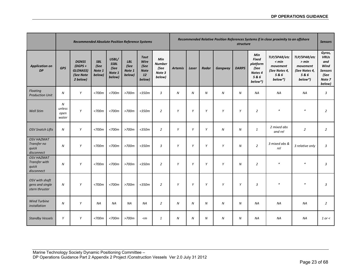|                                                           | <b>Recommended Absolute Position Reference Systems</b> |                                                                       |                                        |                                                  | Recommended Relative Position References Systems if in close proximity to an offshore<br>structure |                                                                   |                                                  |                  |                  | <b>Sensors</b>   |                  |                  |                                                                      |                                                                      |                                                                        |                                                                                    |
|-----------------------------------------------------------|--------------------------------------------------------|-----------------------------------------------------------------------|----------------------------------------|--------------------------------------------------|----------------------------------------------------------------------------------------------------|-------------------------------------------------------------------|--------------------------------------------------|------------------|------------------|------------------|------------------|------------------|----------------------------------------------------------------------|----------------------------------------------------------------------|------------------------------------------------------------------------|------------------------------------------------------------------------------------|
| <b>Application on</b><br><b>DP</b>                        | <b>GPS</b>                                             | <b>DGNSS</b><br>$(DGPS +$<br><b>GLONASS)</b><br>(See Note<br>2 below) | <b>SBL</b><br>(See<br>Note 1<br>below) | USBL/<br><b>SSBL</b><br>(See<br>Note 1<br>below) | <b>LBL</b><br>(See<br>Note 1<br>below)                                                             | <b>Taut</b><br>Wire<br>(See<br><b>Note</b><br><b>12</b><br>below) | Min<br><b>Number</b><br>(See<br>Note 3<br>below) | <b>Artemis</b>   | Laser            | Radar            | Gangway          | <b>DARPS</b>     | Min<br><b>Fixed</b><br>platform<br>(See<br>Notes 4<br>5&6<br>below*) | TLP/SPAR/etc<br>< min<br>movement<br>(See Notes 4,<br>5&6<br>below*) | TLP/SPAR/etc<br>> min<br>movement<br>(See Notes 4,<br>5 & 6<br>below*) | Gyros,<br><b>VRUs</b><br>and<br>Wind<br><b>Sensors</b><br>(See<br>Note 7<br>below) |
| Floating<br><b>Production Unit</b>                        | N                                                      | Y                                                                     | $<$ 700 $m$                            | $<$ 700 $m$                                      | $>700m$                                                                                            | $<$ 350 $m$                                                       | 3                                                | $\boldsymbol{N}$ | $\boldsymbol{N}$ | $\boldsymbol{N}$ | $\boldsymbol{N}$ | $\boldsymbol{N}$ | <b>NA</b>                                                            | <b>NA</b>                                                            | <b>NA</b>                                                              | 3                                                                                  |
| <b>Well Stim</b>                                          | $\boldsymbol{N}$<br>unless<br>open<br>water            | Y                                                                     | $<$ 700 $m$                            | $<$ 700 $m$                                      | $>700m$                                                                                            | $<$ 350 $m$                                                       | $\overline{2}$                                   | Y                | Y                | Y                | Y                | Y                | $\overline{2}$                                                       | $\ast$                                                               | $\ast$                                                                 | $\overline{2}$                                                                     |
| <b>OSV Snatch Lifts</b>                                   | $\boldsymbol{N}$                                       | Y                                                                     | $<$ 700 $m$                            | $<$ 700 $m$                                      | $>700m$                                                                                            | $<$ 350 $m$                                                       | $\overline{2}$                                   | Y                | Y                | Y                | $\boldsymbol{N}$ | $\boldsymbol{N}$ | $\mathbf{1}$                                                         | 2 mixed abs<br>and rel                                               | $\overline{2}$                                                         | $\overline{2}$                                                                     |
| <b>OSV HAZMAT</b><br>Transfer no<br>quick<br>disconnect   | N                                                      | Y                                                                     | $<$ 700 $m$                            | $<$ 700 $m$                                      | $>700m$                                                                                            | $<$ 350 $m$                                                       | $\overline{3}$                                   | Y                | Y                | Y                | Y                | $\boldsymbol{N}$ | $\overline{a}$                                                       | 3 mixed abs &<br>rel                                                 | 3 relative only                                                        | 3                                                                                  |
| <b>OSV HAZMAT</b><br>Transfer with<br>quick<br>disconnect | N                                                      | Y                                                                     | $<$ 700 $m$                            | $<$ 700 $m$                                      | $>700m$                                                                                            | $<$ 350 $m$                                                       | $\overline{2}$                                   | Y                | Y                | Y                | Y                | $\boldsymbol{N}$ | $\overline{c}$                                                       | $\ast$                                                               | $\ast$                                                                 | $\overline{3}$                                                                     |
| OSV with shaft<br>gens and single<br>stern thruster       | $\boldsymbol{N}$                                       | Y                                                                     | $<$ 700 $m$                            | $<$ 700 $m$                                      | $>700m$                                                                                            | $<$ 350 $m$                                                       | $\overline{2}$                                   | Y                | Y                | Y                | Y                | Y                | 3                                                                    | $\ast$                                                               | $\ast$                                                                 | 3                                                                                  |
| <b>Wind Turbine</b><br>installation                       | N                                                      | Y                                                                     | <b>NA</b>                              | <b>NA</b>                                        | <b>NA</b>                                                                                          | <b>NA</b>                                                         | $\overline{2}$                                   | $\boldsymbol{N}$ | $\boldsymbol{N}$ | $\boldsymbol{N}$ | $\boldsymbol{N}$ | $\boldsymbol{N}$ | <b>NA</b>                                                            | <b>NA</b>                                                            | <b>NA</b>                                                              | $\overline{2}$                                                                     |
| <b>Standby Vessels</b>                                    | Y                                                      | Y                                                                     | $<$ 700 $m$                            | $<$ 700 $m$                                      | $>700m$                                                                                            | $\langle m$                                                       | $\mathbf{1}$                                     | N                | N                | $\boldsymbol{N}$ | $\boldsymbol{N}$ | $\boldsymbol{N}$ | NA                                                                   | <b>NA</b>                                                            | <b>NA</b>                                                              | $1$ or $<$                                                                         |

DP Operations Guidance Part 2 Appendix 2 Project /Construction Vessels Ver 2.0 July 31 2012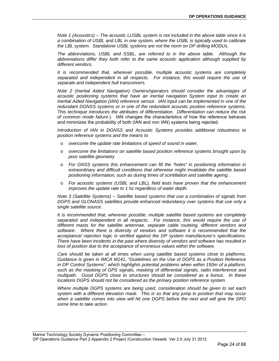*Note 1 (Acoustics) – The acoustic LUSBL system is not included in the above table since it is a combination of USBL and LBL in one system, where the USBL is typically used to calibrate the LBL system. Standalone USBL systems are not the norm on DP drilling MODUs.* 

*The abbreviations, USBL and SSBL, are referred to in the above table. Although the abbreviations differ they both refer to the same acoustic application although supplied by different vendors.* 

*It is recommended that, wherever possible, multiple acoustic systems are completely separated and independent in all respects. For instance, this would require the use of separate and independent hull transceivers.* 

*Note 2 (Inertial Aided Navigation) Owners/operators should consider the advantages of acoustic positioning systems that have an inertial navigation System input to create an Inertial Aided Navigation (IAN) reference sensor. IAN input can be implemented in one of the redundant DGNSS systems or in one of the redundant acoustic position reference systems. This technique introduces the attributes of differentiation. Differentiation can reduce the risk of common mode failure.*). IAN changes the characteristics of how the reference behaves and minimizes the probability of both (IAN and non IAN) systems being rejected.

*Introduction of IAN in DGNSS and Acoustic Systems provides additional robustness to position reference systems and the means to* 

- o *overcome the update rate limitations of speed of sound in water,*
- o *overcome the limitations on satellite based position reference systems brought upon by poor satellite geometry*
- o *For GNSS systems this enhancement can fill the "holes" in positioning information in extraordinary and difficult conditions that otherwise might invalidate the satellite based positioning information, such as during times of scintillation and satellite ageing. .*
- o *For acoustic systems (USBL and LBL), field tests have proven that the enhancement improves the update rate to 1 hz regardless of water depth.*

*Note 3 (Satellite Systems) – Satellite based systems that use a combination of signals from DGPS and GLONASS satellites provide enhanced redundancy over systems that use only a single satellite source.* 

*It is recommended that, wherever possible, multiple satellite based systems are completely separated and independent in all respects. For instance, this would require the use of different masts for the satellite antennae, separate cable routeing, different vendors and software. Where there is diversity of vendors and software it is recommended that the acceptance/ rejection logic is verified against the DP system manufacturer's specifications. There have been incidents in the past where diversity of vendors and software has resulted in loss of position due to the acceptance of erroneous values within the software.* 

*Care should be taken at all times when using satellite based systems close to platforms. Guidance is given in IMCA M141, "Guidelines on the Use of DGPS as a Position Reference in DP Control Systems", which highlights potential problems when within 150m of a platform, such as the masking of GPS signals, masking of differential signals, radio interference and multipath. Good DGPS close to structures should be considered as a bonus. In these locations DGPS should not be considered as the primary position reference system.* 

*Where multiple DGPS systems are being used, consideration should be given to set each system with a different elevation mask. This is so that any jump in position that may occur when a satellite comes into view will hit one DGPS before the next and will give the DPO some time to take action.*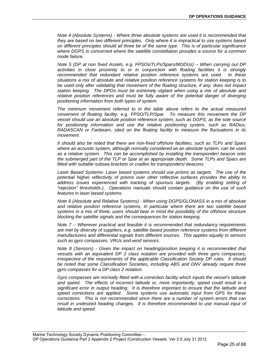*Note 4 (Absolute Systems) - Where three absolute systems are used it is recommended that they are based on two different principles. Only where it is impractical to use systems based on different principles should all three be of the same type. This is of particular significance where DGPS is concerned where the satellite constellation provides a source for a common mode failure.* 

*Note 5 (DP at non fixed Assets, e.g. FPSOs/TLPs/Spars/MODUs) – When carrying out DP activities in close proximity to or in conjunction with floating facilities it is strongly recommended that redundant relative position reference systems are used. In these situations a mix of absolute and relative position reference systems for station keeping is to be used only after validating that movement of the floating structure, if any, does not impact station keeping. The DPOs must be extremely vigilant when using a mix of absolute and relative position references and must be fully aware of the potential danger of diverging positioning information from both types of system.* 

*The minimum movement referred to in the table above refers to the actual measured movement of floating facility, e.g. FPSO/TLP/Spar. To measure this movement the DP vessel should use an absolute position reference system, such as DGPS, as the sole source*  for positioning information and use the relative positioning system, such as RADius, *RADASCAN or Fanbeam, sited on the floating facility to measure the fluctuations in its movement.* 

*It should also be noted that there are non-fixed offshore facilities, such as TLPs and Spars where an acoustic system, although normally considered as an absolute system, can be used as a relative system. This can be accomplished by installing the transponder/ beacon onto the submerged part of the TLP or Spar at an appropriate depth. Some TLPs and Spars are fitted with suitable subsea brackets or cradles for transponders/ beacons.* 

Laser Based Systems- Laser based systems should use prisms as targets. The use of the *potential higher reflectivity of prisms over other reflective surfaces provides the ability to address issues experienced with tracking of spurious targets. (By enabling setting of "rejection" thresholds.). Operations manuals should contain guidance on the use of such features in laser based systems.* 

*Note 6 (Absolute and Relative Systems) - When using DGPS/GLONASS in a mix of absolute and relative position reference systems, in particular where there are two satellite based systems in a mix of three, users should bear in mind the possibility of the offshore structure blocking the satellite signals and the consequences for station keeping.* 

*Note 7 – Wherever practical and feasible it is recommended that redundancy requirements are met by diversity of suppliers, e.g. satellite based position reference systems from different manufacturers and differential signals from different sources. This applies equally to sensors such as gyro compasses, VRUs and wind sensors.* 

*Note 8 (Sensors) - Given the impact on heading/position keeping it is recommended that vessels with an equivalent DP 2 class notation are provided with three gyro compasses, irrespective of the requirements of the applicable Classification Society DP rules. It should be noted that some Classification Societies, including ABS and DNV already require three gyro compasses for a DP class 2 notation.* 

*Gyro compasses are normally fitted with a correction facility which inputs the vessel's latitude*  and speed. The effects of incorrect latitude or, more importantly, speed could result in a *significant error in output heading. It is therefore important to ensure that the latitude and speed corrections are applied. Some systems use automatic input from GPS for these corrections. This is not recommended since there are a number of system errors that can*  result in undesired heading changes. It is therefore recommended to use manual input of *latitude and speed.*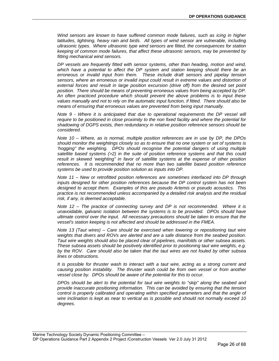*Wind sensors are known to have suffered common mode failures, such as icing in higher latitudes, lightning, heavy rain and birds. All types of wind sensor are vulnerable, including ultrasonic types. Where ultrasonic type wind sensors are fitted, the consequences for station keeping of common mode failures, that affect these ultrasonic sensors, may be prevented by fitting mechanical wind sensors.* 

*DP vessels are frequently fitted with sensor systems, other than heading, motion and wind, which have a potential to affect the DP system and station keeping should there be an erroneous or invalid input from them. These include draft sensors and pipelay tension sensors, where an erroneous or invalid input could result in extreme values and distortion of external forces and result in large position excursion (drive off) from the desired set point position. There should be means of preventing erroneous values from being accepted by DP. An often practiced procedure which should prevent the above problems is to input these values manually and not to rely on the automatic input function, if fitted. There should also be means of ensuring that erroneous values are prevented from being input manually.* 

*Note 9 - Where it is anticipated that due to operational requirements the DP vessel will require to be positioned in close proximity to the non fixed facility and where the potential for shadowing of DGPS exists, then redundancy in relative position reference sensors should be considered.* 

*Note 10 – Where, as is normal, multiple position references are in use by DP, the DPOs should monitor the weightings closely so as to ensure that no one system or set of systems is 'hogging" the weighting. DPOs should recognise the potential dangers of using multiple satellite based systems (>2) in the suite of position reference systems and that this could*  result in skewed 'weighting" in favor of satellite systems at the expense of other position *references. It is recommended that no more than two satellite based position reference systems be used to provide position solution as inputs into DP.* 

*Note 11 – New or retrofitted position references are sometimes interfaced into DP through inputs designed for other position references because the DP control system has not been designed to accept them. Examples of this are pseudo Artemis or pseudo acoustics. This practice is not recommended unless accompanied by a detailed risk analysis and the residual risk, if any, is deemed acceptable.* 

*Note 12 – The practice of connecting survey and DP is not recommended. Where it is unavoidable, galvanic isolation between the systems is to be provided. DPOs should have ultimate control over the input. All necessary precautions should be taken to ensure that the vessel's station keeping is not affected and should be addressed in the FMEA.* 

*Note 13 (Taut wires) – Care should be exercised when lowering or repositioning taut wire weights that divers and ROVs are alerted and are a safe distance from the seabed position. Taut wire weights should also be placed clear of pipelines, manifolds or other subsea assets. These subsea assets should be positively identified prior to positioning taut wire weights, e.g. by the ROV. Care should also be taken that the taut wires are not fouled by other subsea lines or obstructions.* 

*It is possible for thruster wash to interact with a taut wire, acting as a strong current and causing position instability. The thruster wash could be from own vessel or from another vessel close by. DPOs should be aware of the potential for this to occur.* 

*DPOs should be alert to the potential for taut wire weights to "skip" along the seabed and provide inaccurate positioning information. This can be avoided by ensuring that the tension*  control is properly calibrated and operating within specified parameters and that the angle of *wire inclination is kept as near to vertical as is possible and should not normally exceed 10 degrees.*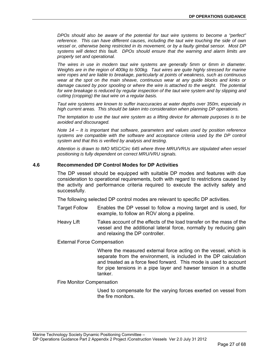*DPOs should also be aware of the potential for taut wire systems to become a "perfect" reference. This can have different causes, including the taut wire touching the side of own vessel or, otherwise being restricted in its movement, or by a faulty gimbal sensor. Most DP systems will detect this fault. DPOs should ensure that the warning and alarm limits are properly set and operational.* 

*The wires in use in modern taut wire systems are generally 5mm or 6mm in diameter. Weights are in the region of 400kg to 500kg. Taut wires are quite highly stressed for marine wire ropes and are liable to breakage, particularly at points of weakness, such as continuous wear at the spot on the main sheave, continuous wear at any guide blocks and kinks or damage caused by poor spooling or where the wire is attached to the weight. The potential* for wire breakage is reduced by regular inspection of the taut wire system and by slipping and *cutting (cropping) the taut wire on a regular basis.* 

*Taut wire systems are known to suffer inaccuracies at water depths over 350m, especially in high current areas. This should be taken into consideration when planning DP operations.* 

*The temptation to use the taut wire system as a lifting device for alternate purposes is to be avoided and discouraged.* 

*Note 14 – It is important that software, parameters and values used by position reference*  systems are compatible with the software and acceptance criteria used by the DP control *system and that this is verified by analysis and testing.* 

*Attention is drawn to IMO MSC/Circ 645 where three MRU/VRUs are stipulated when vessel positioning is fully dependent on correct MRU/VRU signals.* 

#### **4.6 Recommended DP Control Modes for DP Activities**

The DP vessel should be equipped with suitable DP modes and features with due consideration to operational requirements, both with regard to restrictions caused by the activity and performance criteria required to execute the activity safely and successfully.

The following selected DP control modes are relevant to specific DP activities.

- Target Follow Enables the DP vessel to follow a moving target and is used, for example, to follow an ROV along a pipeline.
- Heavy Lift Takes account of the effects of the load transfer on the mass of the vessel and the additional lateral force, normally by reducing gain and relaxing the DP controller.

External Force Compensation

Where the measured external force acting on the vessel, which is separate from the environment, is included in the DP calculation and treated as a force feed forward. This mode is used to account for pipe tensions in a pipe layer and hawser tension in a shuttle tanker.

Fire Monitor Compensation

 Used to compensate for the varying forces exerted on vessel from the fire monitors.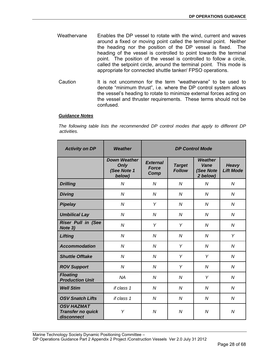- Weathervane Enables the DP vessel to rotate with the wind, current and waves around a fixed or moving point called the terminal point. Neither the heading nor the position of the DP vessel is fixed. The heading of the vessel is controlled to point towards the terminal point. The position of the vessel is controlled to follow a circle, called the setpoint circle, around the terminal point. This mode is appropriate for connected shuttle tanker/ FPSO operations.
- Caution It is not uncommon for the term "weathervane" to be used to denote "minimum thrust", i.e. where the DP control system allows the vessel's heading to rotate to minimize external forces acting on the vessel and thruster requirements. These terms should not be confused.

#### *Guidance Notes*

*The following table lists the recommended DP control modes that apply to different DP activities.* 

| <b>Activity on DP</b>                                | <b>Weather</b>                                              | <b>DP Control Mode</b>                  |                                |                                                 |                                  |  |
|------------------------------------------------------|-------------------------------------------------------------|-----------------------------------------|--------------------------------|-------------------------------------------------|----------------------------------|--|
|                                                      | <b>Down Weather</b><br><b>Only</b><br>(See Note 1<br>below) | <b>External</b><br><b>Force</b><br>Comp | <b>Target</b><br><b>Follow</b> | <b>Weather</b><br>Vane<br>(See Note<br>2 below) | <b>Heavy</b><br><b>Lift Mode</b> |  |
| <b>Drilling</b>                                      | N                                                           | N                                       | $\overline{M}$                 | N                                               | $\overline{M}$                   |  |
| <b>Diving</b>                                        | N                                                           | N                                       | N                              | N                                               | N                                |  |
| <b>Pipelay</b>                                       | N                                                           | Y                                       | N                              | N                                               | N                                |  |
| <b>Umbilical Lay</b>                                 | $\overline{M}$                                              | N                                       | $\overline{M}$                 | N                                               | N                                |  |
| <b>Riser Pull in (See</b><br>Note 3)                 | N                                                           | Y                                       | Υ                              | N                                               | N                                |  |
| Lifting                                              | N                                                           | N                                       | $\overline{M}$                 | N                                               | Y                                |  |
| <b>Accommodation</b>                                 | $\overline{M}$                                              | $\overline{M}$                          | Y                              | $\overline{N}$                                  | $\overline{M}$                   |  |
| <b>Shuttle Offtake</b>                               | $\overline{N}$                                              | $\overline{M}$                          | Y                              | Y                                               | $\overline{N}$                   |  |
| <b>ROV Support</b>                                   | N                                                           | N                                       | Y                              | N                                               | N                                |  |
| <b>Floating</b><br><b>Production Unit</b>            | <b>NA</b>                                                   | $\overline{M}$                          | $\overline{M}$                 | Y                                               | N                                |  |
| <b>Well Stim</b>                                     | if class 1                                                  | N                                       | N                              | N                                               | N                                |  |
| <b>OSV Snatch Lifts</b>                              | if class 1                                                  | N                                       | N                              | N                                               | N                                |  |
| <b>OSV HAZMAT</b><br>Transfer no quick<br>disconnect | Y                                                           | $\overline{N}$                          | N                              | $\overline{N}$                                  | N                                |  |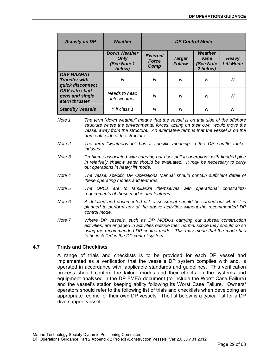| <b>Activity on DP</b>                                         | <b>Weather</b>                                       | <b>DP Control Mode</b>                  |                                |                                                 |                                  |
|---------------------------------------------------------------|------------------------------------------------------|-----------------------------------------|--------------------------------|-------------------------------------------------|----------------------------------|
|                                                               | <b>Down Weather</b><br>Only<br>(See Note 1<br>below) | <b>External</b><br><b>Force</b><br>Comp | <b>Target</b><br><b>Follow</b> | <b>Weather</b><br>Vane<br>(See Note<br>2 below) | <b>Heavy</b><br><b>Lift Mode</b> |
| <b>OSV HAZMAT</b><br><b>Transfer with</b><br>quick disconnect | N                                                    | N                                       | N                              | N                                               | N                                |
| <b>OSV</b> with shaft<br>gens and single<br>stern thruster    | Needs to head<br>into weather                        | N                                       | N                              | N                                               | Ν                                |
| <b>Standby Vessels</b>                                        | Y if class 1                                         | N                                       | N                              | N                                               | Ν                                |

- *Note 1 The term "down weather" means that the vessel is on that side of the offshore structure where the environmental forces, acting on their own, would move the vessel away from the structure. An alternative term is that the vessel is on the "force off" side of the structure.*
- *Note 2 The term "weathervane" has a specific meaning in the DP shuttle tanker industry.*
- *Note 3 Problems associated with carrying out riser pull in operations with flooded pipe in relatively shallow water should be evaluated. It may be necessary to carry out operations in heavy lift mode.*
- *Note 4 The vessel specific DP Operations Manual should contain sufficient detail of these operating modes and features.*
- *Note 5 The DPOs are to familiarize themselves with operational constraints/ requirements of these modes and features.*
- *Note 6 A detailed and documented risk assessment should be carried out when it is planned to perform any of the above activities without the recommended DP control mode.*
- *Note 7 Where DP vessels, such as DP MODUs carrying out subsea construction activities, are engaged in activities outside their normal scope they should do so using the recommended DP control mode. This may mean that the mode has to be installed in the DP control system.*

#### **4.7 Trials and Checklists**

A range of trials and checklists is to be provided for each DP vessel and implemented as a verification that the vessel's DP system complies with and, is operated in accordance with, applicable standards and guidelines. This verification process should confirm the failure modes and their effects on the systems and equipment analysed in the DP FMEA document (to include the Worst Case Failure) and the vessel's station keeping ability following its Worst Case Failure. Owners/ operators should refer to the following list of trials and checklists when developing an appropriate regime for their own DP vessels. The list below is a typical list for a DP dive support vessel.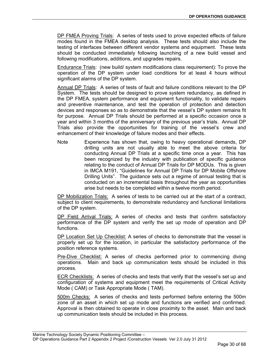DP FMEA Proving Trials: A series of tests used to prove expected effects of failure modes found in the FMEA desktop analysis. These tests should also include the testing of interfaces between different vendor systems and equipment. These tests should be conducted immediately following launching of a new build vessel and following modifications, additions, and upgrades repairs.

Endurance Trials: (new build/ system modifications class requirement): To prove the operation of the DP system under load conditions for at least 4 hours without significant alarms of the DP system.

Annual DP Trials: A series of tests of fault and failure conditions relevant to the DP System. The tests should be designed to prove system redundancy, as defined in the DP FMEA, system performance and equipment functionality, to validate repairs and preventive maintenance, and test the operation of protection and detection devices and responses so as to demonstrate that the vessel's DP system remains fit for purpose. Annual DP Trials should be performed at a specific occasion once a year and within 3 months of the anniversary of the previous year's trials. Annual DP Trials also provide the opportunities for training of the vessel's crew and enhancement of their knowledge of failure modes and their effects.

Note Experience has shown that, owing to heavy operational demands, DP drilling units are not usually able to meet the above criteria for conducting Annual DP Trials at a specific time once a year. This has been recognized by the industry with publication of specific guidance relating to the conduct of Annual DP Trials for DP MODUs. This is given in IMCA M191, "Guidelines for Annual DP Trials for DP Mobile Offshore Drilling Units". The guidance sets out a regime of annual testing that is conducted on an incremental basis throughout the year as opportunities arise but needs to be completed within a twelve month period.

DP Mobilization Trials: A series of tests to be carried out at the start of a contract, subject to client requirements, to demonstrate redundancy and functional limitations of the DP system.

DP Field Arrival Trials: A series of checks and tests that confirm satisfactory performance of the DP system and verify the set up mode of operation and DP functions.

DP Location Set Up Checklist: A series of checks to demonstrate that the vessel is properly set up for the location, in particular the satisfactory performance of the position reference systems.

Pre-Dive Checklist: A series of checks performed prior to commencing diving operations. Main and back up communication tests should be included in this process.

ECR Checklists: A series of checks and tests that verify that the vessel's set up and configuration of systems and equipment meet the requirements of Critical Activity Mode ( CAM) or Task Appropriate Mode ( TAM).

500m Checks: A series of checks and tests performed before entering the 500m zone of an asset in which set up mode and functions are verified and confirmed. Approval is then obtained to operate in close proximity to the asset. Main and back up communication tests should be included in this process.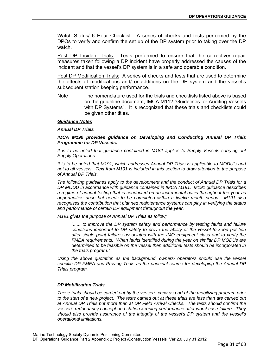Watch Status/ 6 Hour Checklist: A series of checks and tests performed by the DPOs to verify and confirm the set up of the DP system prior to taking over the DP watch.

Post DP Incident Trials: Tests performed to ensure that the corrective/ repair measures taken following a DP incident have properly addressed the causes of the incident and that the vessel's DP system is in a safe and operable condition.

Post DP Modification Trials: A series of checks and tests that are used to determine the effects of modifications and/ or additions on the DP system and the vessel's subsequent station keeping performance.

Note The nomenclature used for the trials and checklists listed above is based on the guideline document, IMCA M112:"Guidelines for Auditing Vessels with DP Systems". It is recognized that these trials and checklists could be given other titles.

#### *Guidance Notes*

#### *Annual DP Trials*

#### *IMCA M190 provides guidance on Developing and Conducting Annual DP Trials Programme for DP Vessels.*

*It is to be noted that guidance contained in M182 applies to Supply Vessels carrying out Supply Operations.* 

*It is to be noted that M191, which addresses Annual DP Trials is applicable to MODU's and not to all vessels. Text from M191 is included in this section to draw attention to the purpose of Annual DP Trials.* 

*The following guidelines apply to the development and the conduct of Annual DP Trials for a DP MODU in accordance with guidance contained in IMCA M191. M191 guidance describes a regime of annual testing that is conducted on an incremental basis throughout the year as opportunities arise but needs to be completed within a twelve month period. M191 also recognises the contribution that planned maintenance systems can play in verifying the status and performance of certain DP equipment throughout the year.* 

*M191 gives the purpose of Annual DP Trials as follow;* 

*"...... to improve the DP system safety and performance by testing faults and failure conditions important to DP safety to prove the ability of the vessel to keep position after single point failures associated with the IMO equipment class and to verify the FMEA requirements. When faults identified during the year on similar DP MODUs are determined to be feasible on the vessel then additional tests should be incorporated in the trials program."* 

Using the above quotation as the background, owners/ operators should use the vessel *specific DP FMEA and Proving Trials as the principal source for developing the Annual DP Trials program.* 

#### *DP Mobilization Trials*

*These trials should be carried out by the vessel's crew as part of the mobilizing program prior to the start of a new project. The tests carried out at these trials are less than are carried out at Annual DP Trials but more than at DP Field Arrival Checks. The tests should confirm the vessel's redundancy concept and station keeping performance after worst case failure. They should also provide assurance of the integrity of the vessel's DP system and the vessel's operational limitations.*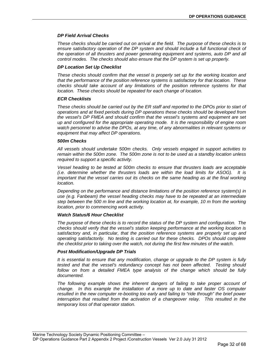#### *DP Field Arrival Checks*

*These checks should be carried out on arrival at the field. The purpose of these checks is to ensure satisfactory operation of the DP system and should include a full functional check of the operation of all thrusters and power generating equipment and systems, auto DP and all control modes. The checks should also ensure that the DP system is set up properly.* 

#### *DP Location Set Up Checklist*

*These checks should confirm that the vessel is properly set up for the working location and that the performance of the position reference systems is satisfactory for that location. These checks should take account of any limitations of the position reference systems for that location. These checks should be repeated for each change of location.* 

#### *ECR Checklists*

*These checks should be carried out by the ER staff and reported to the DPOs prior to start of operations and at fixed periods during DP operations these checks should be developed from the vessel's DP FMEA and should confirm that the vessel's systems and equipment are set up and configured for the appropriate operating mode. It is the responsibility of engine room watch personnel to advise the DPOs, at any time, of any abnormalities in relevant systems or equipment that may affect DP operations.* 

#### *500m Checks*

*All vessels should undertake 500m checks. Only vessels engaged in support activities to remain within the 500m zone. The 500m zone is not to be used as a standby location unless required to support a specific activity.* 

*Vessel heading to be tested at 500m checks to ensure that thrusters loads are acceptable (i.e. determine whether the thrusters loads are within the load limits for ASOG). It is important that the vessel carries out its checks on the same heading as at the final working location.* 

*Depending on the performance and distance limitations of the position reference system(s) in use (e.g. Fanbeam) the vessel heading checks may have to be repeated at an intermediate step between the 500 m line and the working location at, for example, 10 m from the working location, prior to commencing work activity.* 

#### *Watch Status/6 Hour Checklist*

*The purpose of these checks is to record the status of the DP system and configuration. The checks should verify that the vessel's station keeping performance at the working location is satisfactory and, in particular, that the position reference systems are properly set up and operating satisfactorily. No testing is carried out for these checks. DPOs should complete the checklist prior to taking over the watch, not during the first few minutes of the watch.* 

#### *Post Modification/Upgrade DP Trials*

*It is essential to ensure that any modification, change or upgrade to the DP system is fully tested and that the vessel's redundancy concept has not been affected. Testing should follow on from a detailed FMEA type analysis of the change which should be fully documented.* 

The following example shows the inherent dangers of failing to take proper account of *change. In this example the installation of a more up to date and faster OS computer resulted in the new computer re-booting too early and failing to "ride through" the brief power interruption that resulted from the activation of a changeover relay. This resulted in the temporary loss of that operator station.*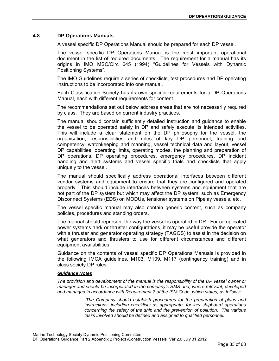#### **4.8 DP Operations Manuals**

A vessel specific DP Operations Manual should be prepared for each DP vessel.

The vessel specific DP Operations Manual is the most important operational document in the list of required documents. The requirement for a manual has its origins in IMO MSC/Circ 645 (1994) "Guidelines for Vessels with Dynamic Positioning Systems".

The IMO Guidelines require a series of checklists, test procedures and DP operating instructions to be incorporated into one manual.

Each Classification Society has its own specific requirements for a DP Operations Manual, each with different requirements for content.

The recommendations set out below address areas that are not necessarily required by class. They are based on current industry practices.

The manual should contain sufficiently detailed instruction and guidance to enable the vessel to be operated safely in DP and safely execute its intended activities. This will include a clear statement on the DP philosophy for the vessel, the organisation, responsibilities and roles of key DP personnel, training and competency, watchkeeping and manning, vessel technical data and layout, vessel DP capabilities, operating limits, operating modes, the planning and preparation of DP operations, DP operating procedures, emergency procedures, DP incident handling and alert systems and vessel specific trials and checklists that apply uniquely to the vessel.

The manual should specifically address operational interfaces between different vendor systems and equipment to ensure that they are configured and operated properly. This should include interfaces between systems and equipment that are not part of the DP system but which may affect the DP system, such as Emergency Disconnect Systems (EDS) on MODUs, tensioner systems on Pipelay vessels, etc.

The vessel specific manual may also contain generic content, such as company policies, procedures and standing orders.

The manual should represent the way the vessel is operated in DP. For complicated power systems and/ or thruster configurations, it may be useful provide the operator with a thruster and generator operating strategy (TAGOS) to assist in the decision on what generators and thrusters to use for different circumstances and different equipment availabilities.

Guidance on the contents of vessel specific DP Operations Manuals is provided in the following IMCA guidelines, M103, M109, M117 (contingency training) and in class society DP rules.

#### *Guidance Notes*

*The provision and development of the manual is the responsibility of the DP vessel owner or manager and should be incorporated in the company's SMS and, where relevant, developed and managed in accordance with Requirement 7 of the ISM Code, which states, as follows;* 

> *"The Company should establish procedures for the preparation of plans and instructions, including checklists as appropriate, for key shipboard operations concerning the safety of the ship and the prevention of pollution. The various tasks involved should be defined and assigned to qualified personnel."*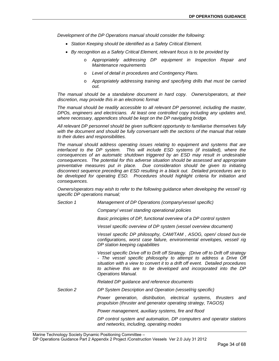*Development of the DP Operations manual should consider the following:* 

- *Station Keeping should be identified as a Safety Critical Element.*
- *By recognition as a Safety Critical Element, relevant focus is to be provided by* 
	- o *Appropriately addressing DP equipment in Inspection Repair and Maintenance requirements*
	- o *Level of detail in procedures and Contingency Plans.*
	- o *Appropriately addressing training and specifying drills that must be carried out.*

*The manual should be a standalone document in hard copy. Owners/operators, at their discretion, may provide this in an electronic format* 

*The manual should be readily accessible to all relevant DP personnel, including the master, DPOs, engineers and electricians. At least one controlled copy including any updates and, where necessary, appendices should be kept on the DP navigating bridge.* 

*All relevant DP personnel should be given sufficient opportunity to familiarise themselves fully*  with the document and should be fully conversant with the sections of the manual that relate *to their duties and responsibilities.* 

*The manual should address operating issues relating to equipment and systems that are*  interfaced to the DP system. This will include ESD systems (if installed), where the *consequences of an automatic shutdown triggered by an ESD may result in undesirable consequences. The potential for this adverse situation should be assessed and appropriate preventative measures put in place. Due consideration should be given to initiating disconnect sequence preceding an ESD resulting in a black out. Detailed procedures are to be developed for operating ESD. Procedures should highlight criteria for initiation and consequences.* 

*Owners/operators may wish to refer to the following guidance when developing the vessel/ rig specific DP operations manual;* 

*Section 1 Management of DP Operations (company/vessel specific)* 

*Company/ vessel standing operational policies* 

*Basic principles of DP, functional overview of a DP control system* 

*Vessel specific overview of DP system (vessel overview document)* 

*Vessel specific DP philosophy, CAM/TAM , ASOG, open/ closed bus-tie configurations, worst case failure, environmental envelopes, vessel/ rig DP station keeping capabilities* 

*Vessel specific Drive off to Drift off Strategy. (Drive off to Drift off strategy - The vessel specific philosophy to attempt to address a Drive Off situation with a view to convert it to a drift off event. Detailed procedures to achieve this are to be developed and incorporated into the DP Operations Manual.* 

*Related DP guidance and reference documents* 

*Section 2 DP System Description and Operation (vessel/rig specific)* 

*Power generation, distribution, electrical systems, thrusters and propulsion (thruster and generator operating strategy, TAGOS)* 

*Power management, auxiliary systems, fire and flood* 

*DP control system and automation, DP computers and operator stations and networks, including, operating modes*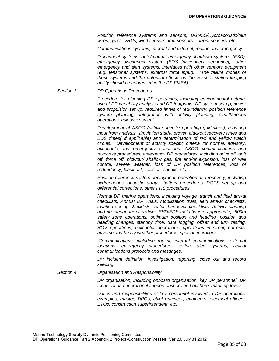*Position reference systems and sensors; DGNSS/Hydroacoustic/taut wires, gyros, VRUs, wind sensors draft sensors, current sensors, etc* 

*Communications systems, internal and external, routine and emergency.* 

*Disconnect systems; auto/manual emergency shutdown systems (ESD), emergency disconnect system (EDS [disconnect sequence]), other emergency and alert systems, interfaces with other vendors equipment (e.g. tensioner systems, external force input). (The failure modes of these systems and the potential effects on the vessel's station keeping ability should be addressed in the DP FMEA).* 

#### *Section 3 DP Operations Procedures*

 *Procedure for planning DP operations, including environmental criteria, use of DP capability analysis and DP footprints, DP system set up, power and propulsion set up, required levels of redundancy, position reference system planning, integration with activity planning, simultaneous operations, risk assessment.* 

 *Development of ASOG (activity specific operating guidelines), requiring input from analysis, simulation study, proven blackout recovery times and EDS times( if applicable) and determination of red and yellow watch circles. Development of activity specific criteria for normal, advisory, actionable and emergency conditions, ASOG communications and response procedures, emergency DP procedures, including drive off, drift*  off, force off, blowout/ shallow gas, fire and/or explosion, loss of well *control, severe weather, loss of DP position references, loss of redundancy, black out, collision, squalls, etc.* 

 *Position reference system deployment, operation and recovery, including hydrophones, acoustic arrays, battery procedures, DGPS set up and differential corrections, other PRS procedures* 

 *Normal DP marine operations, including voyage, transit and field arrival checklists, Annual DP Trials, mobilization trials, field arrival checklists, location set up checklists, watch handover checklists, Activity planning and pre-departure checklists, ESD/EDS trials (where appropriate), 500m safety zone operations, optimum position and heading, position and heading changes, standby time, data logging, offset and turn testing, ROV operations, helicopter operations, operations in strong currents, adverse and heavy weather procedures, special operations.* 

 *Communications, including routine internal communications, external locations, emergency procedures, testing, alert systems, typical communications protocols and messages.* 

 *DP incident definition, investigation, reporting, close out and record keeping.* 

*Section 4 Organisation and Responsibility* 

 *DP organisation, including onboard organisation, key DP personnel, DP technical and operational support onshore and offshore, manning levels* 

 *Duties and responsibilities of key personnel involved in DP operations, examples, master, DPOs, chief engineer, engineers, electrical officers, ETOs, construction superintendent, etc.*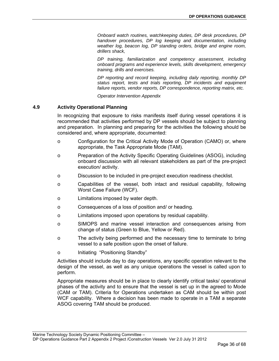*Onboard watch routines, watchkeeping duties, DP desk procedures, DP handover procedures, DP log keeping and documentation, including weather log, beacon log, DP standing orders, bridge and engine room, drillers shack,* 

 *DP training, familiarization and competency assessment, including onboard programs and experience levels, skills development, emergency training, drills and exercises.* 

 *DP reporting and record keeping, including daily reporting, monthly DP status report, tests and trials reporting, DP incidents and equipment*  failure reports, vendor reports, DP correspondence, reporting matrix, etc.

 *Operator Intervention Appendix* 

#### **4.9 Activity Operational Planning**

In recognizing that exposure to risks manifests itself during vessel operations it is recommended that activities performed by DP vessels should be subject to planning and preparation. In planning and preparing for the activities the following should be considered and, where appropriate, documented:

- o Configuration for the Critical Activity Mode of Operation (CAMO) or, where appropriate, the Task Appropriate Mode (TAM).
- o Preparation of the Activity Specific Operating Guidelines (ASOG), including onboard discussion with all relevant stakeholders as part of the pre-project execution/ activity.
- o Discussion to be included in pre-project execution readiness checklist.
- o Capabilities of the vessel, both intact and residual capability, following Worst Case Failure (WCF).
- o Limitations imposed by water depth.
- o Consequences of a loss of position and/ or heading.
- o Limitations imposed upon operations by residual capability.
- o SIMOPS and marine vessel interaction and consequences arising from change of status (Green to Blue, Yellow or Red).
- o The activity being performed and the necessary time to terminate to bring vessel to a safe position upon the onset of failure.
- o Initiating "Positioning Standby"

Activities should include day to day operations, any specific operation relevant to the design of the vessel, as well as any unique operations the vessel is called upon to perform.

Appropriate measures should be in place to clearly identify critical tasks/ operational phases of the activity and to ensure that the vessel is set up in the agreed to Mode (CAM or TAM). Criteria for Operations undertaken as CAM should be within post WCF capability. Where a decision has been made to operate in a TAM a separate ASOG covering TAM should be produced.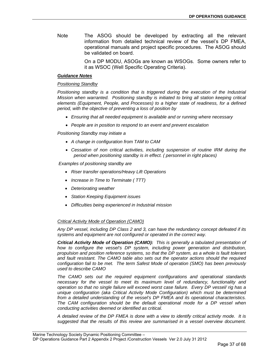Note The ASOG should be developed by extracting all the relevant information from detailed technical review of the vessel's DP FMEA, operational manuals and project specific procedures. The ASOG should be validated on board.

> On a DP MODU, ASOGs are known as WSOGs. Some owners refer to it as WSOC (Well Specific Operating Criteria).

#### *Guidance Notes*

#### *Positioning Standby*

*Positioning standby is a condition that is triggered during the execution of the Industrial Mission when warranted. Positioning standby is initiated to bring all station keeping critical elements (Equipment, People, and Processes) to a higher state of readiness, for a defined period, with the objective of preventing a loss of position by* 

- *Ensuring that all needed equipment is available and or running where necessary*
- *People are in position to respond to an event and prevent escalation*

*Positioning Standby may initiate a* 

- *A change in configuration from TAM to CAM*
- *Cessation of non critical activities, including suspension of routine IRM during the period when positioning standby is in effect. ( personnel in right places)*

*Examples of positioning standby are* 

- *Riser transfer operations/Heavy Lift Operations*
- *Increase in Time to Terminate ( TTT)*
- *Deteriorating weather*
- *Station Keeping Equipment issues*
- *Difficulties being experienced in Industrial mission*

#### *Critical Activity Mode of Operation (CAMO)*

*Any DP vessel, including DP Class 2 and 3, can have the redundancy concept defeated if its systems and equipment are not configured or operated in the correct way.*

*Critical Activity Mode of Operation (CAMO): This is generally a tabulated presentation of*  how to configure the vessel's DP system, including power generation and distribution, *propulsion and position reference systems, so that the DP system, as a whole is fault tolerant and fault resistant. The CAMO table also sets out the operator actions should the required configuration fail to be met. The term Safest Mode of operation (SMO) has been previously used to describe CAMO* 

*The CAMO sets out the required equipment configurations and operational standards necessary for the vessel to meet its maximum level of redundancy, functionality and operation so that no single failure will exceed worst case failure. Every DP vessel/ rig has a unique configuration (aka Critical Activity Mode Configuration) which must be determined from a detailed understanding of the vessel's DP FMEA and its operational characteristics. The CAM configuration should be the default operational mode for a DP vessel when conducting activities deemed or identified as critical.* 

*A detailed review of the DP FMEA is done with a view to identify critical activity mode. It is suggested that the results of this review are summarised in a vessel overview document.*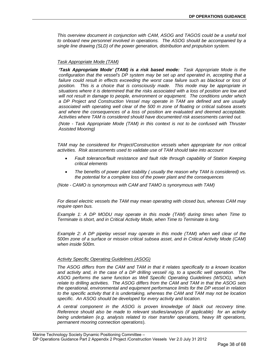*This overview document in conjunction with CAM, ASOG and TAGOS could be a useful tool to onboard new personnel involved in operations. The ASOG should be accompanied by a single line drawing (SLD) of the power generation, distribution and propulsion system.* 

#### *Task Appropriate Mode (TAM)*

*'Task Appropriate Mode' (TAM) is a risk based mode: Task Appropriate Mode is the configuration that the vessel's DP system may be set up and operated in, accepting that a*  failure could result in effects exceeding the worst case failure such as blackout or loss of *position. This is a choice that is consciously made. This mode may be appropriate in situations where it is determined that the risks associated with a loss of position are low and will not result in damage to people, environment or equipment. The conditions under which a DP Project and Construction Vessel may operate in TAM are defined and are usually associated with operating well clear of the 500 m zone of floating or critical subsea assets and where the consequences of a loss of position are evaluated and deemed acceptable. Activities where TAM is considered should have documented risk assessments carried out.* 

*(Note - Task Appropriate Mode (TAM) in this context is not to be confused with Thruster Assisted Mooring)* 

*TAM may be considered for Project/Construction vessels when appropriate for non critical activities. Risk assessments used to validate use of TAM should take into account* 

- *Fault tolerance/fault resistance and fault ride through capability of Station Keeping critical elements*
- *The benefits of power plant stability ( usually the reason why TAM is considered) vs. the potential for a complete loss of the power plant and the consequences*

*(Note - CAMO is synonymous with CAM and TAMO is synonymous with TAM)* 

*For diesel electric vessels the TAM may mean operating with closed bus, whereas CAM may require open bus.* 

*Example 1: A DP MODU may operate in this mode (TAM) during times when Time to Terminate is short, and in Critical Activity Mode, when Time to Terminate is long.* 

*Example 2: A DP pipelay vessel may operate in this mode (TAM) when well clear of the 500m zone of a surface or mission critical subsea asset, and in Critical Activity Mode (CAM) when inside 500m.* 

#### *Activity Specific Operating Guidelines (ASOG)*

*The ASOG differs from the CAM and TAM in that it relates specifically to a known location and activity and, in the case of a DP drilling vessel/ rig, to a specific well operation. The ASOG performs the same function as Well Specific Operating Guidelines (WSOG), which relate to drilling activities. The ASOG differs from the CAM and TAM in that the ASOG sets the operational, environmental and equipment performance limits for the DP vessel in relation to the specific activity that it is undertaking, whereas the CAM and TAM may not be location specific. An ASOG should be developed for every activity and location.* 

*A central component in the ASOG is proven knowledge of black out recovery time. Reference should also be made to relevant studies/analysis (if applicable) for an activity being undertaken (e.g. analysis related to riser transfer operations, heavy lift operations, permanent mooring connection operations*).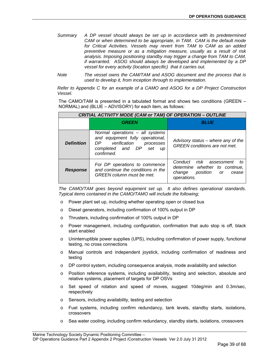- *Summary A DP vessel should always be set up in accordance with its predetermined CAM or when determined to be appropriate, in TAM. CAM is the default mode for Critical Activities. Vessels may revert from TAM to CAM as an added preventive measure or as a mitigation measure, usually as a result of risk analysis. Imposing positioning standby may trigger a change from TAM to CAM, if warranted. ASOG should always be developed and implemented by a DP vessel for every activity (location specific) that it carries out.*
- *Note The vessel owns the CAM/TAM and ASOG document and the process that is used to develop it, from inception through to implementation.*

*Refer to Appendix C for an example of a CAMO and ASOG for a DP Project Construction Vessel.* 

The CAMO/TAM is presented in a tabulated format and shows two conditions (GREEN – NORMAL) and (BLUE – ADVISORY) for each item, as follows:

| <b>CRITIAL ACTIVITY MODE (CAM or TAM) OF OPERATION - OUTLINE</b> |                                                                                                                                                        |                                                                                                                      |  |  |  |
|------------------------------------------------------------------|--------------------------------------------------------------------------------------------------------------------------------------------------------|----------------------------------------------------------------------------------------------------------------------|--|--|--|
|                                                                  | <b>GREEN</b>                                                                                                                                           | <b>BLUE</b>                                                                                                          |  |  |  |
| <b>Definition</b>                                                | Normal operations - all systems<br>and equipment fully operational,<br>DP verification<br>processes<br>completed and DP set<br><b>UD</b><br>confirmed. | Advisory status – where any of the<br><b>GREEN</b> conditions are not met.                                           |  |  |  |
| <b>Response</b>                                                  | For DP operations to commence<br>and continue the conditions in the<br><b>GREEN</b> column must be met.                                                | risk assessment<br>Conduct<br>to.<br>determine whether to continue,<br>change position<br>or<br>cease<br>operations. |  |  |  |

*The CAMO/TAM goes beyond equipment set up. It also defines operational standards. Typical items contained in the CAMO/TAMO will include the following;* 

- o Power plant set up, including whether operating open or closed bus
- o Diesel generators, including confirmation of 100% output in DP
- o Thrusters, including confirmation of 100% output in DP
- Power management, including configuration, confirmation that auto stop is off, black start enabled
- o Uninterruptible power supplies (UPS), including confirmation of power supply, functional testing, no cross connections
- o Manual controls and independent joystick, including confirmation of readiness and testing
- $\circ$  DP control system, including consequence analysis, mode availability and selection
- o Position reference systems, including availability, testing and selection, absolute and relative systems, placement of targets for DP OSVs
- o Set speed of rotation and speed of moves, suggest 10deg/min and 0.3m/sec, respectively
- o Sensors, including availability, testing and selection
- o Fuel systems, including confirm redundancy, tank levels, standby starts, isolations, crossovers
- o Sea water cooling, including confirm redundancy, standby starts, isolations, crossovers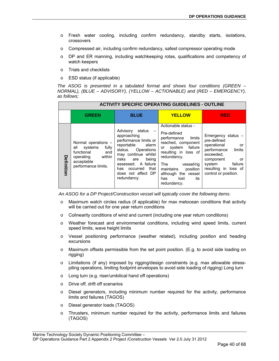- o Fresh water cooling, including confirm redundancy, standby starts, isolations, crossovers
- o Compressed air, including confirm redundancy, safest compressor operating mode
- $\circ$  DP and ER manning, including watchkeeping rotas, qualifications and competency of watch keepers
- o Trials and checklists
- o ESD status (if applicable)

*The ASOG is presented in a tabulated format and shows four conditions (GREEN – NORMAL), (BLUE – ADVISORY), (YELLOW – ACTIONABLE) and (RED – EMERGENCY), as follows;* 

|            | <b>ACTIVITY SPECIFIC OPERATING GUIDELINES - OUTLINE</b>                                                                         |                                                                                                                                                                                                                                               |                                                                                                                                                                                                                                                                   |                                                                                                                                                                                                 |  |  |  |
|------------|---------------------------------------------------------------------------------------------------------------------------------|-----------------------------------------------------------------------------------------------------------------------------------------------------------------------------------------------------------------------------------------------|-------------------------------------------------------------------------------------------------------------------------------------------------------------------------------------------------------------------------------------------------------------------|-------------------------------------------------------------------------------------------------------------------------------------------------------------------------------------------------|--|--|--|
|            | <b>GREEN</b>                                                                                                                    | <b>BLUE</b>                                                                                                                                                                                                                                   | <b>YELLOW</b>                                                                                                                                                                                                                                                     | <b>RED</b>                                                                                                                                                                                      |  |  |  |
| Definition | Normal operations -<br>systems<br>fully<br>all<br>functional<br>and<br>within<br>operating<br>acceptable<br>performance limits. | Advisory status -<br>approaching<br>performance limits or<br>reportable<br>alarm<br>status. Operations<br>may continue whilst<br>risks<br>being<br>are<br>assessed. A failure<br>that<br>occurred<br>has<br>does not affect DP<br>redundancy. | Actionable status -<br>Pre-defined<br>performance<br>limits<br>reached, component<br>system failure<br>or<br>resulting in loss of<br>redundancy.<br><b>The</b><br>vessel/rig<br>maintains<br>position<br>although the vessel<br>lost<br>its<br>has<br>redundancy. | Emergency status -<br>pre-defined<br>operational<br><sub>or</sub><br>performance<br>limits<br>exceeded,<br>component<br>or<br>system<br>failure<br>resulting in loss of<br>control or position. |  |  |  |

*An ASOG for a DP Project/Construction vessel will typically cover the following items:* 

- $\circ$  Maximum watch circles radius (if applicable) for max metocean conditions that activity will be carried out for one year return conditions
- $\circ$  Colinearity conditions of wind and current (including one year return conditions)
- o Weather forecast and environmental conditions, including wind speed limits, current speed limits, wave height limits
- o Vessel positioning performance (weather related), including position and heading excursions
- $\circ$  Maximum offsets permissible from the set point position. (E.g. to avoid side loading on rigging)
- o Limitations (if any) imposed by rigging/design constraints (e.g. max allowable stresspiling operations, limiting footprint envelopes to avoid side loading of rigging) Long turn
- o Long turn (e.g. riser/umbilical hand off operations)
- o Drive off, drift off scenarios
- $\circ$  Diesel generators, including minimum number required for the activity, performance limits and failures (TAGOS)
- o Diesel generator loads (TAGOS)
- $\circ$  Thrusters, minimum number required for the activity, performance limits and failures (TAGOS)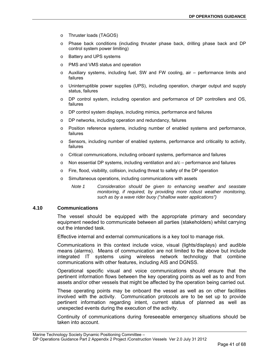- o Thruster loads (TAGOS)
- o Phase back conditions (including thruster phase back, drilling phase back and DP control system power limiting)
- o Battery and UPS systems
- o PMS and VMS status and operation
- o Auxiliary systems, including fuel, SW and FW cooling, air performance limits and failures
- o Uninterruptible power supplies (UPS), including operation, charger output and supply status, failures
- o DP control system, including operation and performance of DP controllers and OS, failures
- o DP control system displays, including mimics, performance and failures
- o DP networks, including operation and redundancy, failures
- o Position reference systems, including number of enabled systems and performance, failures
- $\circ$  Sensors, including number of enabled systems, performance and criticality to activity, failures
- $\circ$  Critical communications, including onboard systems, performance and failures
- $\circ$  Non essential DP systems, including ventilation and a/c performance and failures
- $\circ$  Fire, flood, visibility, collision, including threat to safety of the DP operation
- o Simultaneous operations, including communications with assets
	- *Note 1 Consideration should be given to enhancing weather and seastate monitoring, if required, by providing more robust weather monitoring, such as by a wave rider buoy ("shallow water applications")*

#### **4.10 Communications**

The vessel should be equipped with the appropriate primary and secondary equipment needed to communicate between all parties (stakeholders) whilst carrying out the intended task.

Effective internal and external communications is a key tool to manage risk.

Communications in this context include voice, visual (lights/displays) and audible means (alarms). Means of communication are not limited to the above but include integrated IT systems using wireless network technology that combine communications with other features, including AIS and DGNSS.

Operational specific visual and voice communications should ensure that the pertinent information flows between the key operating points as well as to and from assets and/or other vessels that might be affected by the operation being carried out.

These operating points may be onboard the vessel as well as on other facilities involved with the activity. Communication protocols are to be set up to provide pertinent information regarding intent, current status of planned as well as unexpected events during the execution of the activity.

Continuity of communications during foreseeable emergency situations should be taken into account.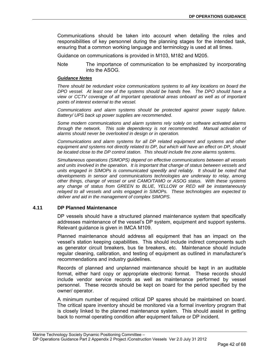Communications should be taken into account when detailing the roles and responsibilities of key personnel during the planning stages for the intended task, ensuring that a common working language and terminology is used at all times.

Guidance on communications is provided in M103, M182 and M205.

Note The importance of communication to be emphasized by incorporating into the ASOG.

#### *Guidance Notes*

*There should be redundant voice communications systems to all key locations on board the DPO vessel. At least one of the systems should be hands free. The DPO should have a view or CCTV coverage of all important operational areas onboard as well as of important points of interest external to the vessel.* 

*Communications and alarm systems should be protected against power supply failure. Battery/ UPS back up power supplies are recommended.* 

*Some modern communications and alarm systems rely solely on software activated alarms through the network. This sole dependency is not recommended. Manual activation of alarms should never be overlooked in design or in operation.* 

*Communications and alarm systems for all DP related equipment and systems and other equipment and systems not directly related to DP, but which will have an effect on DP, should be located close to the DP control station. This should include fire zone alarms systems.* 

*Simultaneous operations (SIMOPS) depend on effective communications between all vessels and units involved in the operation. It is important that change of status between vessels and units engaged in SIMOPs is communicated speedily and reliably. It should be noted that developments in sensor and communications technologies are underway to relay, among other things, change of vessel or unit CAMO/TAMO or ASOG status. With these systems any change of status from GREEN to BLUE, YELLOW or RED will be instantaneously relayed to all vessels and units engaged in SIMOPs. These technologies are expected to deliver and aid in the management of complex SIMOPS.* 

#### **4.11 DP Planned Maintenance**

DP vessels should have a structured planned maintenance system that specifically addresses maintenance of the vessel's DP system, equipment and support systems. Relevant guidance is given in IMCA M109.

Planned maintenance should address all equipment that has an impact on the vessel's station keeping capabilities. This should include indirect components such as generator circuit breakers, bus tie breakers, etc. Maintenance should include regular cleaning, calibration, and testing of equipment as outlined in manufacturer's recommendations and industry guidelines.

Records of planned and unplanned maintenance should be kept in an auditable format, either hard copy or appropriate electronic format. These records should include vendor service records as well as maintenance performed by vessel personnel. These records should be kept on board for the period specified by the owner/ operator.

A minimum number of required critical DP spares should be maintained on board. The critical spare inventory should be monitored via a formal inventory program that is closely linked to the planned maintenance system. This should assist in getting back to normal operating condition after equipment failure or DP incident.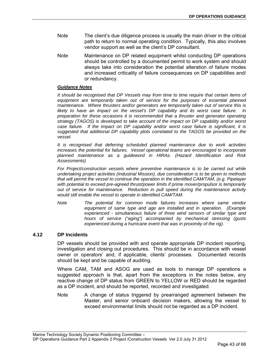- Note The client's due diligence process is usually the main driver in the critical path to return to normal operating condition. Typically, this also involves vendor support as well as the client's DP consultant.
- Note Maintenance on DP related equipment whilst conducting DP operations should be controlled by a documented permit to work system and should always take into consideration the potential alteration of failure modes and increased criticality of failure consequences on DP capabilities and/ or redundancy.

#### *Guidance Notes*

*It should be recognised that DP Vessels may from time to time require that certain items of*  equipment are temporarily taken out of service for the purposes of essential planned *maintenance. Where thrusters and/or generators are temporarily taken out of service this is*  likely to have an impact on the vessel's DP capability and its worst case failure. In *preparation for these occasions it is recommended that a thruster and generator operating strategy (TAGOS) is developed to take account of the impact on DP capability and/or worst case failure. If the impact on DP capability and/or worst case failure is significant, it is suggested that additional DP capability plots correlated to the TAGOS be provided on the vessel.* 

*It is recognised that deferring scheduled planned maintenance due to work activities increases the potential for failures. Vessel operational teams are encouraged to incorporate planned maintenance as a guideword in HIRAs. (Hazard Identification and Risk Assessments)* 

*For Project/construction vessels where preventive maintenance is to be carried out while undertaking project activities (Industrial Mission), due consideration is to be given to methods that will permit the vessel to continue the operation in the identified CAM/TAM, (e.g. Pipelayer with potential to exceed pre-agreed thrust/power limits if prime mover/propulsor is temporarily out of service for maintenance. Reduction in pull speed during the maintenance activity would still enable the vessel to operate in identified CAM/TAM.* 

*Note The potential for common mode failures increases where same vendor equipment of same type and age are installed and in operation. (Example experienced - simultaneous failure of three wind sensors of similar type and hours of service ("aging") accompanied by mechanical stressing (gusts experienced during a hurricane event that was in proximity of the rig).* 

#### **4.12 DP Incidents**

DP vessels should be provided with and operate appropriate DP incident reporting, investigation and closing out procedures. This should be in accordance with vessel owner or operators' and, if applicable, clients' processes. Documented records should be kept and be capable of auditing.

Where CAM, TAM and ASOG are used as tools to manage DP operations a suggested approach is that, apart from the exceptions in the notes below, any reactive change of DP status from GREEN to YELLOW or RED should be regarded as a DP incident, and should be reported, recorded and investigated.

Note A change of status triggered by prearranged agreement between the Master, and senior onboard decision makers, allowing the vessel to exceed environmental limits should not be regarded as a DP incident.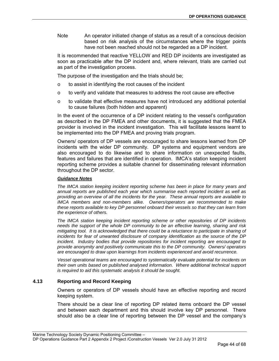Note An operator initiated change of status as a result of a conscious decision based on risk analysis of the circumstances where the trigger points have not been reached should not be regarded as a DP incident.

It is recommended that reactive YELLOW and RED DP incidents are investigated as soon as practicable after the DP incident and, where relevant, trials are carried out as part of the investigation process.

The purpose of the investigation and the trials should be;

- $\circ$  to assist in identifying the root causes of the incident
- $\circ$  to verify and validate that measures to address the root cause are effective
- $\circ$  to validate that effective measures have not introduced any additional potential to cause failures (both hidden and apparent)

In the event of the occurrence of a DP incident relating to the vessel's configuration as described in the DP FMEA and other documents, it is suggested that the FMEA provider is involved in the incident investigation. This will facilitate lessons learnt to be implemented into the DP FMEA and proving trials program.

Owners/ operators of DP vessels are encouraged to share lessons learned from DP incidents with the wider DP community. DP systems and equipment vendors are also encouraged to do likewise and to share information on unexpected faults, features and failures that are identified in operation. IMCA's station keeping incident reporting scheme provides a suitable channel for disseminating relevant information throughout the DP sector.

#### *Guidance Notes*

*The IMCA station keeping incident reporting scheme has been in place for many years and annual reports are published each year which summarise each reported incident as well as providing an overview of all the incidents for the year. These annual reports are available to IMCA members and non-members alike. Owners/operators are recommended to make these reports available to key DP personnel onboard their vessels so that they can learn from the experience of others.* 

*The IMCA station keeping incident reporting scheme or other repositories of DP incidents needs the support of the whole DP community to be an effective learning, sharing and risk mitigating tool. It is acknowledged that there could be a reluctance to participate in sharing of incidents for fear of unwanted disclosure of company identification as the source of the DP incident. Industry bodies that provide repositories for incident reporting are encouraged to provide anonymity and positively communicate this to the DP community. Owners/ operators are encouraged to draw upon learnings from incidents experienced and avoid recurrence.* 

*Vessel operational teams are encouraged to systematically evaluate potential for incidents on their own units based on published analysed information. Where additional technical support is required to aid this systematic analysis it should be sought.* 

#### **4.13 Reporting and Record Keeping**

Owners or operators of DP vessels should have an effective reporting and record keeping system.

There should be a clear line of reporting DP related items onboard the DP vessel and between each department and this should involve key DP personnel. There should also be a clear line of reporting between the DP vessel and the company's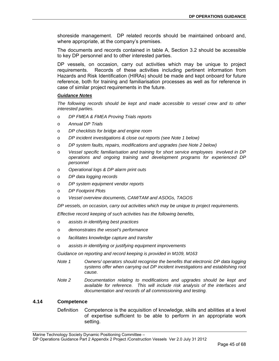shoreside management. DP related records should be maintained onboard and, where appropriate, at the company's premises.

The documents and records contained in table A, Section 3.2 should be accessible to key DP personnel and to other interested parties.

DP vessels, on occasion, carry out activities which may be unique to project requirements. Records of these activities including pertinent information from Hazards and Risk Identification (HIRAs) should be made and kept onboard for future reference, both for training and familiarisation processes as well as for reference in case of similar project requirements in the future.

#### *Guidance Notes*

*The following records should be kept and made accessible to vessel crew and to other interested parties.* 

- o *DP FMEA & FMEA Proving Trials reports*
- o *Annual DP Trials*
- o *DP checklists for bridge and engine room*
- o *DP incident investigations & close out reports (see Note 1 below)*
- o *DP system faults, repairs, modifications and upgrades (see Note 2 below)*
- o *Vessel specific familiarisation and training for short service employees involved in DP operations and ongoing training and development programs for experienced DP personnel*
- o *Operational logs & DP alarm print outs*
- o *DP data logging records*
- o *DP system equipment vendor reports*
- o *DP Footprint Plots*
- o *Vessel overview documents, CAM/TAM and ASOGs, TAGOS*

*DP vessels, on occasion, carry out activities which may be unique to project requirements.* 

*Effective record keeping of such activities has the following benefits,* 

- o *assists in identifying best practices*
- o *demonstrates the vessel's performance*
- o *facilitates knowledge capture and transfer*
- o *assists in identifying or justifying equipment improvements*

*Guidance on reporting and record keeping is provided in M109, M163* 

- *Note 1 Owners/ operators should recognise the benefits that electronic DP data logging systems offer when carrying out DP incident investigations and establishing root cause.*
- *Note 2 Documentation relating to modifications and upgrades should be kept and available for reference. This will include risk analysis of the interfaces and documentation and records of all commissioning and testing.*

#### **4.14 Competence**

Definition Competence is the acquisition of knowledge, skills and abilities at a level of expertise sufficient to be able to perform in an appropriate work setting.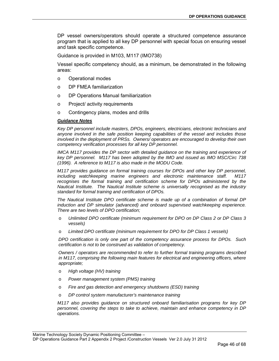DP vessel owners/operators should operate a structured competence assurance program that is applied to all key DP personnel with special focus on ensuring vessel and task specific competence.

Guidance is provided in M103, M117 (IMO738)

Vessel specific competency should, as a minimum, be demonstrated in the following areas:

- o Operational modes
- o DP FMEA familiarization
- o DP Operations Manual familiarization
- o Project/ activity requirements
- o Contingency plans, modes and drills

#### *Guidance Notes*

*Key DP personnel include masters, DPOs, engineers, electricians, electronic technicians and anyone involved in the safe position keeping capabilities of the vessel and includes those involved in the deployment of PRSs. Owners/ operators are encouraged to develop their own competency verification processes for all key DP personnel.* 

*IMCA M117 provides the DP sector with detailed guidance on the training and experience of key DP personnel. M117 has been adopted by the IMO and issued as IMO MSC/Circ 738 (1996). A reference to M117 is also made in the MODU Code.* 

*M117 provides guidance on formal training courses for DPOs and other key DP personnel, including watchkeeping marine engineers and electronic maintenance staff. M117*  recognises the formal training and certification scheme for DPOs administered by the *Nautical Institute. The Nautical Institute scheme is universally recognised as the industry standard for formal training and certification of DPOs.* 

*The Nautical Institute DPO certificate scheme is made up of a combination of formal DP induction and DP simulator (advanced) and onboard supervised watchkeeping experience. There are two levels of DPO certification;* 

- o *Unlimited DPO certificate (minimum requirement for DPO on DP Class 2 or DP Class 3 vessels)*
- o *Limited DPO certificate (minimum requirement for DPO for DP Class 1 vessels)*

*DPO certification is only one part of the competency assurance process for DPOs. Such certification is not to be construed as validation of competency.* 

*Owners / operators are recommended to refer to further formal training programs described in M117, comprising the following main features for electrical and engineering officers, where appropriate;* 

- o *High voltage (HV) training*
- o *Power management system (PMS) training*
- o *Fire and gas detection and emergency shutdowns (ESD) training*
- o *DP control system manufacturer's maintenance training*

*M117 also provides guidance on structured onboard familiarisation programs for key DP personnel, covering the steps to take to achieve, maintain and enhance competency in DP operations.*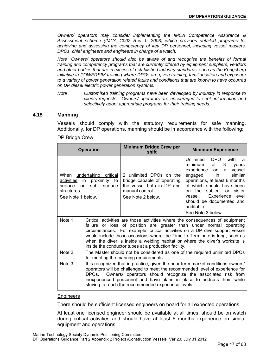*Owners/ operators may consider implementing the IMCA Competence Assurance & Assessment scheme (IMCA C002 Rev 1, 2003) which provides detailed programs for achieving and assessing the competency of key DP personnel, including vessel masters, DPOs, chief engineers and engineers in charge of a watch.* 

*Note Owners/ operators should also be aware of and recognise the benefits of formal training and competency programs that are currently offered by equipment suppliers, vendors and other bodies that are in excess of established industry standards, such as the Kongsberg initiative in POWERSIM training where DPOs are given training, familiarisation and exposure to a variety of power generation related faults and conditions that are known to have occurred on DP diesel electric power generation systems.* 

*Note Customised training programs have been developed by industry in response to clients requests. Owners/ operators are encouraged to seek information and selectively adopt appropriate programs for their training needs.* 

#### **4.15 Manning**

Vessels should comply with the statutory requirements for safe manning. Additionally, for DP operations, manning should be in accordance with the following:

| DP Bridge Crew |  |
|----------------|--|
|----------------|--|

| <b>Operation</b>                                                                                                                    |                                                                                                                                                                                                                                                                                                                                                                                                                                                         | <b>Minimum Bridge Crew per</b><br>shift                                                                                     | <b>Minimum Experience</b>                                                                                                                                                                                                                                                                                                  |  |  |
|-------------------------------------------------------------------------------------------------------------------------------------|---------------------------------------------------------------------------------------------------------------------------------------------------------------------------------------------------------------------------------------------------------------------------------------------------------------------------------------------------------------------------------------------------------------------------------------------------------|-----------------------------------------------------------------------------------------------------------------------------|----------------------------------------------------------------------------------------------------------------------------------------------------------------------------------------------------------------------------------------------------------------------------------------------------------------------------|--|--|
| When undertaking<br>critical<br>proximity to<br>activities in<br>surface<br>sub<br>surface<br>or<br>structures<br>See Note 1 below. |                                                                                                                                                                                                                                                                                                                                                                                                                                                         | 2 unlimited DPOs on the<br>bridge capable of operating<br>the vessel both in DP and<br>manual control.<br>See Note 2 below. | Unlimited<br>DPO<br>with<br>a<br>3<br>minimum<br>οf<br>vears<br>experience<br>vessel<br>on<br>a<br>engaged<br>similar<br>in.<br>operations, at least 6 months<br>of which should have been<br>subject or<br>sister<br>on the<br>Experience level<br>vessel.<br>should be documented and<br>auditable.<br>See Note 3 below. |  |  |
| Note 1                                                                                                                              | Critical activities are those activities where the consequences of equipment<br>failure or loss of position are greater than under normal operating<br>circumstances. For example, critical activities on a DP dive support vessel<br>would include those occasions where the Time to Terminate is long, such as<br>when the diver is inside a welding habitat or where the diver's worksite is<br>inside the conductor tubes at a production facility. |                                                                                                                             |                                                                                                                                                                                                                                                                                                                            |  |  |
| Note 2<br>The Master should not be considered as one of the required unlimited DPOs<br>for meeting the manning requirements.        |                                                                                                                                                                                                                                                                                                                                                                                                                                                         |                                                                                                                             |                                                                                                                                                                                                                                                                                                                            |  |  |
| Note 3                                                                                                                              | It is recognized that in practice, given the near term market conditions owners/<br>operators will be challenged to meet the recommended level of experience for<br>DPOs Quinerel operatore should recognize the associated risk from                                                                                                                                                                                                                   |                                                                                                                             |                                                                                                                                                                                                                                                                                                                            |  |  |

DPOs. Owners/ operators should recognize the associated risk from inexperienced personnel and have plans in place to address them while striving to reach the recommended experience levels.

#### **Engineers**

There should be sufficient licensed engineers on board for all expected operations.

At least one licensed engineer should be available at all times, should be on watch during critical activities and should have at least 6 months experience on similar equipment and operations.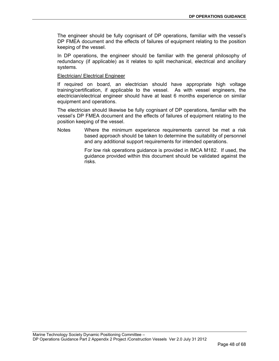The engineer should be fully cognisant of DP operations, familiar with the vessel's DP FMEA document and the effects of failures of equipment relating to the position keeping of the vessel.

In DP operations, the engineer should be familiar with the general philosophy of redundancy (if applicable) as it relates to split mechanical, electrical and ancillary systems.

#### Electrician/ Electrical Engineer

If required on board, an electrician should have appropriate high voltage training/certification, if applicable to the vessel. As with vessel engineers, the electrician/electrical engineer should have at least 6 months experience on similar equipment and operations.

The electrician should likewise be fully cognisant of DP operations, familiar with the vessel's DP FMEA document and the effects of failures of equipment relating to the position keeping of the vessel.

Notes Where the minimum experience requirements cannot be met a risk based approach should be taken to determine the suitability of personnel and any additional support requirements for intended operations.

> For low risk operations guidance is provided in IMCA M182. If used, the guidance provided within this document should be validated against the risks.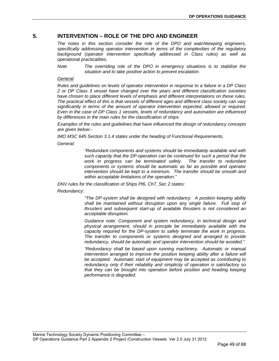#### **5. INTERVENTION – ROLE OF THE DPO AND ENGINEER**

*The notes in this section consider the role of the DPO and watchkeeping engineers, specifically addressing operator intervention in terms of the complexities of the regulatory background (operator intervention specifically addressed in Class rules) as well as operational practicalities.* 

*Note The overriding role of the DPO in emergency situations is to stabilise the situation and to take positive action to prevent escalation.* 

#### *General*

*Rules and guidelines on levels of operator intervention in response to a failure in a DP Class 2 or DP Class 3 vessel have changed over the years and different classification societies have chosen to place different levels of emphasis and different interpretations on these rules. The practical effect of this is that vessels of different ages and different class society can vary significantly in terms of the amount of operator intervention expected, allowed or required. Even in the case of DP Class 1 vessels, levels of redundancy and automation are influenced by differences in the main rules for the classification of ships.* 

*Examples of the rules and guidelines that have influenced the design of redundancy concepts are given below:-* 

*IMO MSC 645 Section 3.1.4 states under the heading of Functional Requirements,* 

#### *General:*

*"Redundant components and systems should be immediately available and with such capacity that the DP-operation can be continued for such a period that the work in progress can be terminated safely. The transfer to redundant components or systems should be automatic as far as possible and operator intervention should be kept to a minimum. The transfer should be smooth and within acceptable limitations of the operation."* 

*DNV rules for the classification of Ships Pt6, Ch7, Sec 2 states:* 

#### *Redundancy:*

*"The DP-system shall be designed with redundancy. A position keeping ability shall be maintained without disruption upon any single failure. Full stop of thrusters and subsequent start-up of available thrusters is not considered an acceptable disruption.* 

*Guidance note: Component and system redundancy, in technical design and physical arrangement, should in principle be immediately available with the capacity required for the DP-system to safely terminate the work in progress. The transfer to components or systems designed and arranged to provide redundancy, should be automatic and operator intervention should be avoided."* 

*"Redundancy shall be based upon running machinery. Automatic or manual intervention arranged to improve the position keeping ability after a failure will be accepted. Automatic start of equipment may be accepted as contributing to redundancy only if their reliability and simplicity of operation is satisfactory so that they can be brought into operation before position and heading keeping performance is degraded.*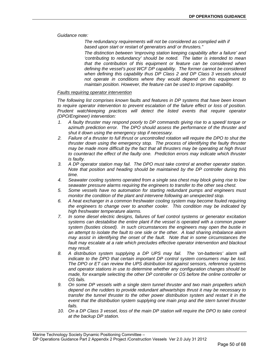*Guidance note:* 

*The redundancy requirements will not be considered as complied with if based upon start or restart of generators and/ or thrusters."* 

*The distinction between 'improving station keeping capability after a failure' and 'contributing to redundancy' should be noted. The latter is intended to mean that the contribution of this equipment or feature can be considered when defining the vessel's post WCF DP capability. The former cannot be considered when defining this capability thus DP Class 2 and DP Class 3 vessels should not operate in conditions where they would depend on this equipment to maintain position. However, the feature can be used to improve capability.* 

#### *Faults requiring operator intervention*

*The following list comprises known faults and features in DP systems that have been known to require operator intervention to prevent escalation of the failure effect or loss of position. Prudent watchkeeping practices will detect the listed events that require operator (DPO/Engineer) intervention:* 

- *1. A faulty thruster may respond poorly to DP commands giving rise to a speed/ torque or azimuth prediction error. The DPO should assess the performance of the thruster and shut it down using the emergency stop if necessary.*
- *2. Failure of a thruster to full thrust or uncontrolled rotation will require the DPO to shut the thruster down using the emergency stop. The process of identifying the faulty thruster may be made more difficult by the fact that all thrusters may be operating at high thrust to counteract the effect of the faulty one. Prediction errors may indicate which thruster is faulty.*
- *3. A DP operator station may fail. The DPO must take control at another operator station. Note that position and heading should be maintained by the DP controller during this time.*
- *4. Seawater cooling systems operated from a single sea chest may block giving rise to low seawater pressure alarms requiring the engineers to transfer to the other sea chest.*
- *5. Some vessels have no automation for starting redundant pumps and engineers must monitor the condition of the plant and intervene following an unexpected stop.*
- *6. A heat exchanger in a common freshwater cooling system may become fouled requiring the engineers to change over to another cooler. This condition may be indicated by high freshwater temperature alarms.*
- *7. In some diesel electric designs, failures of fuel control systems or generator excitation systems can destabilise the entire plant if the vessel is operated with a common power system (busties closed). In such circumstances the engineers may open the bustie in an attempt to isolate the fault to one side or the other. A load sharing imbalance alarm may assist in identifying the onset of the fault. Note that in some circumstances the fault may escalate at a rate which precludes effective operator intervention and blackout may result.*
- 8. A distribution system supplying a DP UPS may fail. The 'on-batteries' alarm will *indicate to the DPO that certain important DP control system consumers may be lost. The DPO or ET can review the UPS distribution list against sensors, reference systems and operator stations in use to determine whether any configuration changes should be made, for example selecting the other DP controller or OS before the online controller or OS fails.*
- *9. On some DP vessels with a single stern tunnel thruster and two main propellers which depend on the rudders to provide redundant athwartships thrust it may be necessary to transfer the tunnel thruster to the other power distribution system and restart it in the event that the distribution system supplying one main prop and the stern tunnel thruster fails.*
- 10. On a DP Class 3 vessel, loss of the main DP station will require the DPO to take control *at the backup DP station.*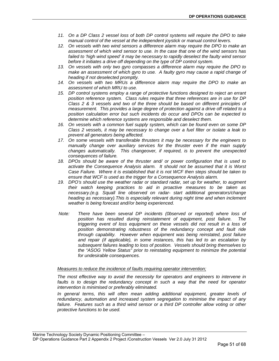- *11. On a DP Class 2 vessel loss of both DP control systems will require the DPO to take manual control of the vessel at the independent joystick or manual control levers.*
- *12. On vessels with two wind sensors a difference alarm may require the DPO to make an assessment of which wind sensor to use. In the case that one of the wind sensors has failed to 'high wind speed' it may be necessary to rapidly deselect the faulty wind sensor before it initiates a drive off depending on the type of DP control system.*
- *13. On vessels with only two gyro compasses a difference alarm may require the DPO to make an assessment of which gyro to use. A faulty gyro may cause a rapid change of heading if not deselected promptly.*
- 14. On vessels with two MRUs a difference alarm may require the DPO to make an *assessment of which MRU to use.*
- *15. DP control systems employ a range of protective functions designed to reject an errant position reference system. Class rules require that three references are in use for DP Class 2 & 3 vessels and two of the three should be based on different principles of measurement. This provides a large degree of protection against a drive off related to a position calculation error but such incidents do occur and DPOs can be expected to determine which reference systems are responsible and deselect them.*
- *16. On vessels with a common fuel supply system, which can be found even on some DP Class 2 vessels, it may be necessary to change over a fuel filter or isolate a leak to prevent all generators being affected.*
- *17. On some vessels with transferable thrusters it may be necessary for the engineers to manually change over auxiliary services for the thruster even if the main supply changes automatically. This changeover, if required, is to prevent the unexpected consequences of failure.*
- *18. DPOs should be aware of the thruster and/ or power configuration that is used to activate the Consequence Analysis alarm. It should not be assumed that it is Worst Case Failure. Where it is established that it is not WCF then steps should be taken to ensure that WCF is used as the trigger for a Consequence Analysis alarm.*
- *19. DPO's should use the weather radar or standard radar, set up for weather, to augment their watch keeping practices to aid in proactive measures to be taken as necessary.(e.g. Squall line observed on radar- start additional generators/change heading as necessary).This is especially relevant during night time and when inclement weather is being forecast and//or being experienced.*
- *Note: There have been several DP incidents (0bserved or reported) where loss of position has resulted during reinstatement of equipment, post failure. The triggering event of loss equipment on these vessels did not result in a loss of position demonstrating robustness of the redundancy concept and fault ride through capability. However when equipment was being reinstated, post failure and repair (if applicable), in some instances, this has led to an escalation by subsequent failures leading to loss of position. Vessels should bring themselves to the "ASOG Yellow Status" prior to reinstating equipment to minimize the potential for undesirable consequences.*

#### *Measures to reduce the incidence of faults requiring operator intervention;*

*The most effective way to avoid the necessity for operators and engineers to intervene in*  faults is to design the redundancy concept in such a way that the need for operator *intervention is minimised or preferably eliminated.* 

In general terms, this will often mean adding additional equipment, greater levels of *redundancy, automation and increased system segregation to minimise the impact of any*  failure. Features such as a third wind sensor or a third DP controller allow voting or other *protective functions to be used.*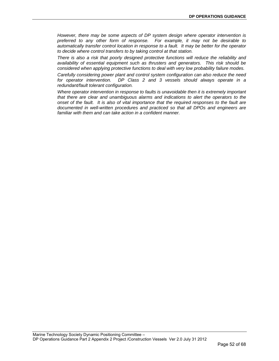*However, there may be some aspects of DP system design where operator intervention is preferred to any other form of response. For example, it may not be desirable to automatically transfer control location in response to a fault. It may be better for the operator to decide where control transfers to by taking control at that station.* 

*There is also a risk that poorly designed protective functions will reduce the reliability and availability of essential equipment such as thrusters and generators. This risk should be considered when applying protective functions to deal with very low probability failure modes.* 

*Carefully considering power plant and control system configuration can also reduce the need for operator intervention. DP Class 2 and 3 vessels should always operate in a redundant/fault tolerant configuration.* 

*Where operator intervention in response to faults is unavoidable then it is extremely important that there are clear and unambiguous alarms and indications to alert the operators to the onset of the fault. It is also of vital importance that the required responses to the fault are documented in well-written procedures and practiced so that all DPOs and engineers are familiar with them and can take action in a confident manner.*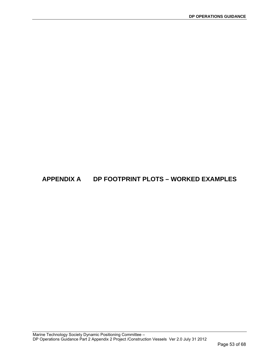## **APPENDIX A DP FOOTPRINT PLOTS – WORKED EXAMPLES**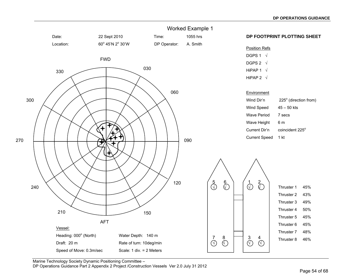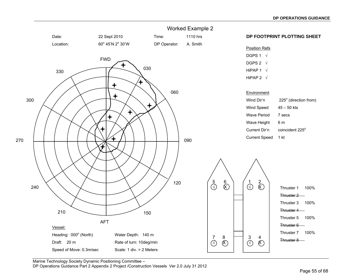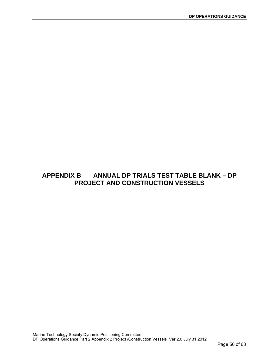## **APPENDIX B ANNUAL DP TRIALS TEST TABLE BLANK – DP PROJECT AND CONSTRUCTION VESSELS**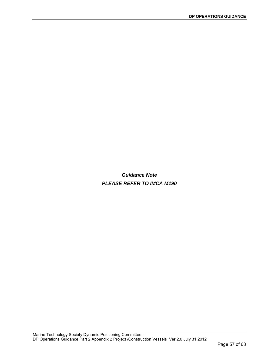*Guidance Note PLEASE REFER TO IMCA M190*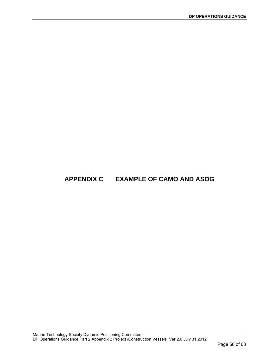## **APPENDIX C EXAMPLE OF CAMO AND ASOG**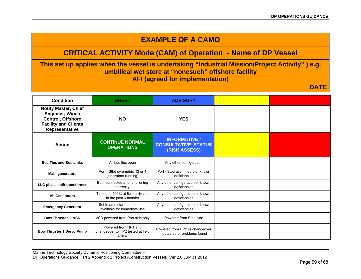## **EXAMPLE OF A CAMO CRITICAL ACTIVITY Mode (CAM) of Operation - Name of DP Vessel This set up applies when the vessel is undertaking "Industrial Mission/Project Activity" ) e.g. umbilical wet store at "nonesuch" offshore facility AFI (agreed for implementation) DATE**

| Condition                                                                                                                          | <b>GREEN</b>                                                         | <b>ADVISORY</b>                                                     |  |
|------------------------------------------------------------------------------------------------------------------------------------|----------------------------------------------------------------------|---------------------------------------------------------------------|--|
| <b>Notify Master, Chief</b><br><b>Engineer, Winch</b><br><b>Control, Offshore</b><br><b>Facility and Clients</b><br>Representative | <b>NO</b>                                                            | <b>YES</b>                                                          |  |
| <b>Action</b>                                                                                                                      | <b>CONTINUE NORMAL</b><br><b>OPERATIONS</b>                          | <b>INFORMATIVE /</b><br><b>CONSULTATIVE STATUS</b><br>(RISK ASSESS) |  |
| <b>Bus Ties and Bus Links</b>                                                                                                      | All bus ties open                                                    | Any other configuration                                             |  |
| <b>Main generators</b>                                                                                                             | Port - Stbd symmetric (2 or 4<br>generators running)                 | Port - Stbd asymmetric or known<br>deficiencies                     |  |
| LLC phase shift transformer                                                                                                        | Both connected and functioning<br>correctly                          | Any other configuration or known<br>deficiencies                    |  |
| <b>All Generators</b>                                                                                                              | Tested at 100% at field arrival or<br>in the past 6 months           | Any other configuration or known<br>deficiencies                    |  |
| <b>Emergency Generator</b>                                                                                                         | Set to auto start and connect.<br>available for immediate use        | Any other configuration or known<br>deficiencies                    |  |
| <b>Bow Thruster 1 VSD</b>                                                                                                          | VSD powered from Port side only                                      | Powered from Stbd side                                              |  |
| <b>Bow Thruster 1 Servo Pump</b>                                                                                                   | Powered from HP1 and<br>changeover to HP2 tested at field<br>arrival | Powered from HP2 or changeover<br>not tested or problems found      |  |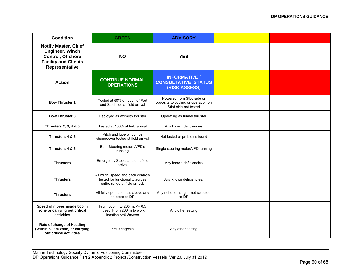| <b>Condition</b>                                                                                                                   | <b>GREEN</b>                                                                                           | <b>ADVISORY</b>                                                                          |  |
|------------------------------------------------------------------------------------------------------------------------------------|--------------------------------------------------------------------------------------------------------|------------------------------------------------------------------------------------------|--|
| <b>Notify Master, Chief</b><br><b>Engineer, Winch</b><br><b>Control, Offshore</b><br><b>Facility and Clients</b><br>Representative | <b>NO</b>                                                                                              | <b>YES</b>                                                                               |  |
| <b>Action</b>                                                                                                                      | <b>CONTINUE NORMAL</b><br><b>OPERATIONS</b>                                                            | <b>INFORMATIVE /</b><br><b>CONSULTATIVE STATUS</b><br>(RISK ASSESS)                      |  |
| <b>Bow Thruster 1</b>                                                                                                              | Tested at 50% on each of Port<br>and Stbd side at field arrival                                        | Powered from Stbd side or<br>opposite to cooling or operation on<br>Stbd side not tested |  |
| <b>Bow Thruster 3</b>                                                                                                              | Deployed as azimuth thruster                                                                           | Operating as tunnel thruster                                                             |  |
| Thrusters 2, 3, 4 & 5                                                                                                              | Tested at 100% at field arrival                                                                        | Any known deficiencies                                                                   |  |
| Thrusters 4 & 5                                                                                                                    | Pitch and lube oil pumps<br>changeover tested at field arrival                                         | Not tested or problems found                                                             |  |
| Thrusters 4 & 5                                                                                                                    | Both Steering motors/VFD's<br>running                                                                  | Single steering motor/VFD running                                                        |  |
| <b>Thrusters</b>                                                                                                                   | Emergency Stops tested at field<br>arrival                                                             | Any known deficiencies                                                                   |  |
| <b>Thrusters</b>                                                                                                                   | Azimuth, speed and pitch controls<br>tested for functionality across<br>entire range at field arrival. | Any known deficiencies.                                                                  |  |
| <b>Thrusters</b>                                                                                                                   | All fully operational as above and<br>selected to DP                                                   | Any not operating or not selected<br>to DP                                               |  |
| Speed of moves inside 500 m<br>zone or carrying out critical<br>activities                                                         | From 500 m to 200 m, $\leq$ 0.5<br>m/sec From 200 m to work<br>$location < = 0.3m/sec$                 | Any other setting                                                                        |  |
| Rate of change of Heading<br>(Within 500 m zone) or carrying<br>out critical activities                                            | $\leq$ =10 deg/min                                                                                     | Any other setting                                                                        |  |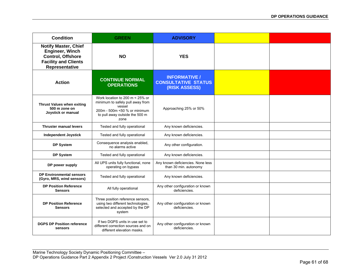| <b>Condition</b>                                                                                                                   | <b>GREEN</b>                                                                                                                                              | <b>ADVISORY</b>                                                     |  |
|------------------------------------------------------------------------------------------------------------------------------------|-----------------------------------------------------------------------------------------------------------------------------------------------------------|---------------------------------------------------------------------|--|
| <b>Notify Master, Chief</b><br><b>Engineer, Winch</b><br><b>Control, Offshore</b><br><b>Facility and Clients</b><br>Representative | <b>NO</b>                                                                                                                                                 | <b>YES</b>                                                          |  |
| <b>Action</b>                                                                                                                      | <b>CONTINUE NORMAL</b><br><b>OPERATIONS</b>                                                                                                               | <b>INFORMATIVE /</b><br><b>CONSULTATIVE STATUS</b><br>(RISK ASSESS) |  |
| <b>Thrust Values when exiting</b><br>500 m zone on<br>Joystick or manual                                                           | Work location to 200 m $<$ 25% or<br>minimum to safely pull away from<br>vessel<br>200m - 500m <50 % or minimum<br>to pull away outside the 500 m<br>zone | Approaching 25% or 50%                                              |  |
| <b>Thruster manual levers</b>                                                                                                      | Tested and fully operational                                                                                                                              | Any known deficiencies.                                             |  |
| <b>Independent Joystick</b>                                                                                                        | Tested and fully operational                                                                                                                              | Any known deficiencies.                                             |  |
| <b>DP System</b>                                                                                                                   | Consequence analysis enabled,<br>no alarms active                                                                                                         | Any other configuration.                                            |  |
| DP System                                                                                                                          | Tested and fully operational                                                                                                                              | Any known deficiencies.                                             |  |
| DP power supply                                                                                                                    | All UPS units fully functional, none<br>operating on bypass                                                                                               | Any known deficiencies. None less<br>than 30 min. autonomy          |  |
| <b>DP Environmental sensors</b><br>(Gyro, MRS, wind sensors)                                                                       | Tested and fully operational                                                                                                                              | Any known deficiencies.                                             |  |
| <b>DP Position Reference</b><br><b>Sensors</b>                                                                                     | All fully operational                                                                                                                                     | Any other configuration or known<br>deficiencies.                   |  |
| <b>DP Position Reference</b><br><b>Sensors</b>                                                                                     | Three position reference sensors,<br>using two different technologies,<br>selected and accepted by the DP<br>system                                       | Any other configuration or known<br>deficiencies.                   |  |
| <b>DGPS DP Position reference</b><br>sensors                                                                                       | If two DGPS units in use set to<br>different correction sources and on<br>different elevation masks.                                                      | Any other configuration or known<br>deficiencies.                   |  |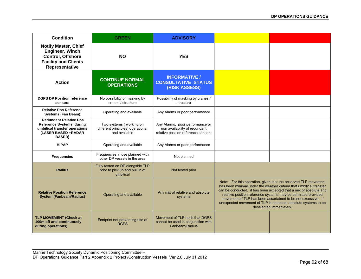| <b>Condition</b>                                                                                                                          | <b>GREEN</b>                                                                     | <b>ADVISORY</b>                                                                                         |                                                                                                                                                                                                                                                                                                                                                                                                                                           |
|-------------------------------------------------------------------------------------------------------------------------------------------|----------------------------------------------------------------------------------|---------------------------------------------------------------------------------------------------------|-------------------------------------------------------------------------------------------------------------------------------------------------------------------------------------------------------------------------------------------------------------------------------------------------------------------------------------------------------------------------------------------------------------------------------------------|
| <b>Notify Master, Chief</b><br><b>Engineer, Winch</b><br><b>Control, Offshore</b><br><b>Facility and Clients</b><br>Representative        | <b>NO</b>                                                                        | <b>YES</b>                                                                                              |                                                                                                                                                                                                                                                                                                                                                                                                                                           |
| <b>Action</b>                                                                                                                             | <b>CONTINUE NORMAL</b><br><b>OPERATIONS</b>                                      | <b>INFORMATIVE /</b><br><b>CONSULTATIVE STATUS</b><br>(RISK ASSESS)                                     |                                                                                                                                                                                                                                                                                                                                                                                                                                           |
| <b>DGPS DP Position reference</b><br>sensors                                                                                              | No possibility of masking by<br>cranes / structure                               | Possibility of masking by cranes /<br>structure                                                         |                                                                                                                                                                                                                                                                                                                                                                                                                                           |
| <b>Relative Pos Reference</b><br><b>Systems (Fan Beam)</b>                                                                                | Operating and available                                                          | Any Alarms or poor performance                                                                          |                                                                                                                                                                                                                                                                                                                                                                                                                                           |
| <b>Redundant Relative Pos</b><br><b>Reference Systems during</b><br>umbilical transfer operations<br>(LASER BASED +RADAR<br><b>BASED)</b> | Two systems (working on<br>different principles) operational<br>and available    | Any Alarms, poor performance or<br>non availability of redundant<br>relative position reference sensors |                                                                                                                                                                                                                                                                                                                                                                                                                                           |
| <b>HiPAP</b>                                                                                                                              | Operating and available                                                          | Any Alarms or poor performance                                                                          |                                                                                                                                                                                                                                                                                                                                                                                                                                           |
| <b>Frequencies</b>                                                                                                                        | Frequencies in use planned with<br>other DP vessels in the area                  | Not planned                                                                                             |                                                                                                                                                                                                                                                                                                                                                                                                                                           |
| <b>Radius</b>                                                                                                                             | Fully tested on DP alongside TLP<br>prior to pick up and pull in of<br>umbilical | Not tested prior                                                                                        |                                                                                                                                                                                                                                                                                                                                                                                                                                           |
| <b>Relative Position Reference</b><br><b>System (Fanbeam/Radius)</b>                                                                      | Operating and available                                                          | Any mix of relative and absolute<br>systems                                                             | Note:- For this operation, given that the observed TLP movement<br>has been minimal under the weather criteria that umbilical transfer<br>can be conducted, it has been accepted that a mix of absolute and<br>relative position reference systems may be permitted provided<br>movement of TLP has been ascertained to be not excessive. If<br>unexpected movement of TLP is detected, absolute systems to be<br>deselected immediately. |
| <b>TLP MOVEMENT (Check at</b><br>100m off and continuously<br>during operations)                                                          | Footprint not preventing use of<br><b>DGPS</b>                                   | Movement of TLP such that DGPS<br>cannot be used in conjunction with<br>Fanbeam/Radius                  |                                                                                                                                                                                                                                                                                                                                                                                                                                           |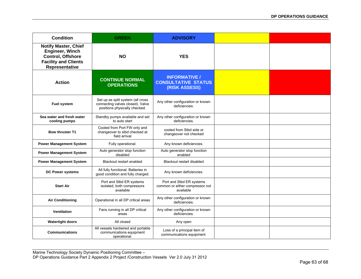| <b>Condition</b>                                                                                                            | <b>GREEN</b>                                                                                           | <b>ADVISORY</b>                                                          |  |
|-----------------------------------------------------------------------------------------------------------------------------|--------------------------------------------------------------------------------------------------------|--------------------------------------------------------------------------|--|
| <b>Notify Master, Chief</b><br>Engineer, Winch<br><b>Control, Offshore</b><br><b>Facility and Clients</b><br>Representative | <b>NO</b>                                                                                              | <b>YES</b>                                                               |  |
| <b>Action</b>                                                                                                               | <b>CONTINUE NORMAL</b><br><b>OPERATIONS</b>                                                            | <b>INFORMATIVE /</b><br><b>CONSULTATIVE STATUS</b><br>(RISK ASSESS)      |  |
| <b>Fuel system</b>                                                                                                          | Set up as split system (all cross<br>connecting valves closed). Valve<br>positions physically checked. | Any other configuration or known<br>deficiencies.                        |  |
| Sea water and fresh water<br>cooling pumps                                                                                  | Standby pumps available and set<br>to auto start                                                       | Any other configuration or known<br>deficiencies.                        |  |
| <b>Bow thruster T1</b>                                                                                                      | Cooled from Port FW only and<br>changeover to stbd checked at<br>field arrival                         | cooled from Stbd side or<br>changeover not checked                       |  |
| <b>Power Management System</b>                                                                                              | Fully operational.                                                                                     | Any known deficiencies.                                                  |  |
| <b>Power Management System</b>                                                                                              | Auto generator stop function<br>disabled                                                               | Auto generator stop function<br>enabled                                  |  |
| <b>Power Management System</b>                                                                                              | Blackout restart enabled                                                                               | Blackout restart disabled                                                |  |
| DC Power systems                                                                                                            | All fully functional. Batteries in<br>good condition and fully charged.                                | Any known deficiencies.                                                  |  |
| <b>Start Air</b>                                                                                                            | Port and Stbd ER systems<br>isolated, both compressors<br>available                                    | Port and Stbd ER systems<br>common or either compressor not<br>available |  |
| <b>Air Conditioning</b>                                                                                                     | Operational in all DP critical areas                                                                   | Any other configuration or known<br>deficiencies.                        |  |
| <b>Ventilation</b>                                                                                                          | Fans running in all DP critical<br>areas                                                               | Any other configuration or known<br>deficiencies.                        |  |
| <b>Watertight doors</b>                                                                                                     | All closed                                                                                             | Any open                                                                 |  |
| <b>Communications</b>                                                                                                       | All vessels hardwired and portable<br>communications equipment<br>operational.                         | Loss of a principal item of<br>communications equipment.                 |  |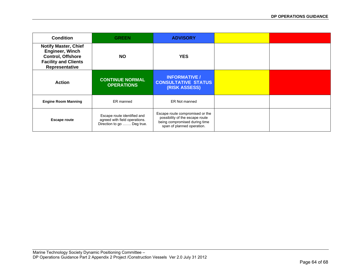| <b>Condition</b>                                                                                                                   | <b>GREEN</b>                                                                               | <b>ADVISORY</b>                                                                                                                   |  |
|------------------------------------------------------------------------------------------------------------------------------------|--------------------------------------------------------------------------------------------|-----------------------------------------------------------------------------------------------------------------------------------|--|
| <b>Notify Master, Chief</b><br><b>Engineer, Winch</b><br><b>Control, Offshore</b><br><b>Facility and Clients</b><br>Representative | <b>NO</b>                                                                                  | <b>YES</b>                                                                                                                        |  |
| <b>Action</b>                                                                                                                      | <b>CONTINUE NORMAL</b><br><b>OPERATIONS</b>                                                | <b>INFORMATIVE /</b><br><b>CONSULTATIVE STATUS</b><br>(RISK ASSESS)                                                               |  |
| <b>Engine Room Manning</b>                                                                                                         | ER manned                                                                                  | ER Not manned                                                                                                                     |  |
| <b>Escape route</b>                                                                                                                | Escape route identified and<br>agreed with field operations.<br>Direction to go  Deg true. | Escape route compromised or the<br>possibility of the escape route<br>being compromised during time<br>span of planned operation. |  |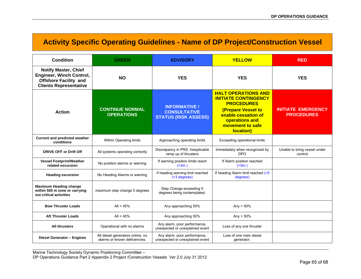## **Activity Specific Operating Guidelines - Name of DP Project/Construction Vessel**

| <b>Condition</b>                                                                                                                | <b>GREEN</b>                                                      | <b>ADVISORY</b>                                                            | <b>YELLOW</b>                                                                                                                                                                  | <b>RED</b>                                     |
|---------------------------------------------------------------------------------------------------------------------------------|-------------------------------------------------------------------|----------------------------------------------------------------------------|--------------------------------------------------------------------------------------------------------------------------------------------------------------------------------|------------------------------------------------|
| <b>Notify Master, Chief</b><br><b>Engineer, Winch Control,</b><br><b>Offshore Facility and</b><br><b>Clients Representative</b> | <b>NO</b>                                                         | <b>YES</b>                                                                 | <b>YES</b>                                                                                                                                                                     | <b>YES</b>                                     |
| <b>Action</b>                                                                                                                   | <b>CONTINUE NORMAL</b><br><b>OPERATIONS</b>                       | <b>INFORMATIVE /</b><br><b>CONSULTATIVE</b><br><b>STATUS (RISK ASSESS)</b> | <b>HALT OPERATIONS AND</b><br><b>INITIATE CONTINGENCY</b><br><b>PROCEDURES</b><br>(Prepare Vessel to<br>enable cessation of<br>operations and<br>movement to safe<br>location) | <b>INITIATE EMERGENCY</b><br><b>PROCEDURES</b> |
| <b>Current and predicted weather</b><br>conditions                                                                              | Within Operating limits                                           | Approaching operating limits                                               | <b>Exceeding operational limits</b>                                                                                                                                            |                                                |
| DRIVE OFF or Drift Off                                                                                                          | All systems operating correctly                                   | Discrepancy in PRS. Inexplicable<br>ramp up of thrusters                   | Immediately when recognized by<br><b>DPO</b>                                                                                                                                   | Unable to bring vessel under<br>control        |
| <b>Vessel Footprint/Weather</b><br>related excursion                                                                            | No position alarms or warning                                     | If warning position limits reach<br>(>3m)                                  | If Alarm position reached<br>(55m)                                                                                                                                             |                                                |
| <b>Heading excursion</b>                                                                                                        | No Heading Alarms or warning                                      | If heading warning limit reached<br>$($ >3 degrees $)$                     | If heading Alarm limit reached (>5<br>degrees)                                                                                                                                 |                                                |
| <b>Maximum Heading change</b><br>within 500 m zone or carrying<br>out critical activities                                       | maximum step change 5 degrees                                     | Step Change exceeding 5<br>degrees being contemplated.                     |                                                                                                                                                                                |                                                |
| <b>Bow Thruster Loads</b>                                                                                                       | All < $45%$                                                       | Any approaching 50%                                                        | Any $> 50\%$                                                                                                                                                                   |                                                |
| <b>Aft Thruster Loads</b>                                                                                                       | All < $45%$                                                       | Any approaching 50%                                                        | Any $> 50\%$                                                                                                                                                                   |                                                |
| <b>All thrusters</b>                                                                                                            | Operational with no alarms                                        | Any alarm, poor performance,<br>unexpected or unexplained event            | Loss of any one thruster                                                                                                                                                       |                                                |
| Diesel Generator - Engines                                                                                                      | All diesel generators online, no<br>alarms or known deficiencies. | Any alarm, poor performance,<br>unexpected or unexplained event            | Loss of one main diesel<br>generator.                                                                                                                                          |                                                |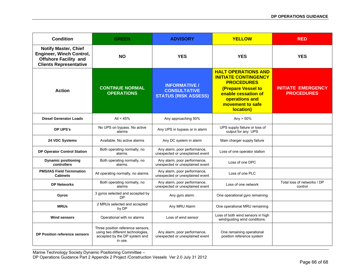| <b>Condition</b>                                                                                                         | <b>GREEN</b>                                                                                                       | <b>ADVISORY</b>                                                            | <b>YELLOW</b>                                                                                                                                                                  | <b>RED</b>                                     |
|--------------------------------------------------------------------------------------------------------------------------|--------------------------------------------------------------------------------------------------------------------|----------------------------------------------------------------------------|--------------------------------------------------------------------------------------------------------------------------------------------------------------------------------|------------------------------------------------|
| <b>Notify Master, Chief</b><br>Engineer, Winch Control,<br><b>Offshore Facility and</b><br><b>Clients Representative</b> | <b>NO</b>                                                                                                          | <b>YES</b>                                                                 | <b>YES</b>                                                                                                                                                                     | <b>YES</b>                                     |
| <b>Action</b>                                                                                                            | <b>CONTINUE NORMAL</b><br><b>OPERATIONS</b>                                                                        | <b>INFORMATIVE /</b><br><b>CONSULTATIVE</b><br><b>STATUS (RISK ASSESS)</b> | <b>HALT OPERATIONS AND</b><br><b>INITIATE CONTINGENCY</b><br><b>PROCEDURES</b><br>(Prepare Vessel to<br>enable cessation of<br>operations and<br>movement to safe<br>location) | <b>INITIATE EMERGENCY</b><br><b>PROCEDURES</b> |
| <b>Diesel Generator Loads</b>                                                                                            | All < $45%$                                                                                                        | Any approaching 50%                                                        | Any $> 50\%$                                                                                                                                                                   |                                                |
| <b>DP UPS's</b>                                                                                                          | No UPS on bypass. No active<br>alarms                                                                              | Any UPS in bypass or in alarm                                              | UPS supply failure or loss of<br>output for any UPS                                                                                                                            |                                                |
| 24 VDC Systems                                                                                                           | Available. No active alarms                                                                                        | Any DC system in alarm                                                     | Main charger supply failure                                                                                                                                                    |                                                |
| <b>DP Operator Control Station</b>                                                                                       | Both operating normally, no<br>alarms.                                                                             | Any alarm, poor performance,<br>unexpected or unexplained event            | Loss of one operator station                                                                                                                                                   |                                                |
| <b>Dynamic positioning</b><br>controllers                                                                                | Both operating normally, no<br>alarms.                                                                             | Any alarm, poor performance,<br>unexpected or unexplained event            | Loss of one DPC                                                                                                                                                                |                                                |
| <b>PMS/IAS Field Termination</b><br><b>Cabinets</b>                                                                      | All operating normally, no alarms.                                                                                 | Any alarm, poor performance,<br>unexpected or unexplained event            | Loss of one PLC                                                                                                                                                                |                                                |
| <b>DP Networks</b>                                                                                                       | Both operating normally, no<br>alarms                                                                              | Any alarm, poor performance,<br>unexpected or unexplained event            | Loss of one network                                                                                                                                                            | Total loss of networks / DP<br>control         |
| Gyros                                                                                                                    | 3 gyros selected and accepted by<br><b>DP</b>                                                                      | Any gyro alarm.                                                            | One operational gyro remaining                                                                                                                                                 |                                                |
| <b>MRUs</b>                                                                                                              | 2 MRUs selected and accepted<br>by DP                                                                              | Any MRU Alarm                                                              | One operational MRU remaining                                                                                                                                                  |                                                |
| <b>Wind sensors</b>                                                                                                      | Operational with no alarms                                                                                         | Loss of wind sensor                                                        | Loss of both wind sensors in high<br>wind/gusting wind conditions.                                                                                                             |                                                |
| DP Position reference sensors                                                                                            | Three position reference sensors,<br>using two different technologies,<br>accepted by the DP system and<br>in use. | Any alarm, poor performance,<br>unexpected or unexplained event            | One remaining operational<br>position reference system                                                                                                                         |                                                |

Marine Technology Society Dynamic Positioning Committee –

DP Operations Guidance Part 2 Appendix 2 Project /Construction Vessels Ver 2.0 July 31 2012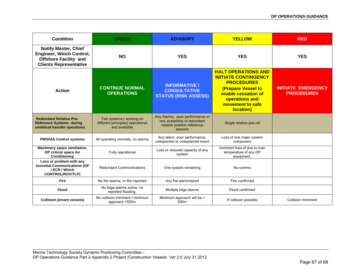| <b>Condition</b>                                                                                                                | <b>GREEN</b>                                                                  | <b>ADVISORY</b>                                                                                            | <b>YELLOW</b>                                                                                                                                                                         | <b>RED</b>                                     |
|---------------------------------------------------------------------------------------------------------------------------------|-------------------------------------------------------------------------------|------------------------------------------------------------------------------------------------------------|---------------------------------------------------------------------------------------------------------------------------------------------------------------------------------------|------------------------------------------------|
| <b>Notify Master, Chief</b><br><b>Engineer, Winch Control,</b><br><b>Offshore Facility and</b><br><b>Clients Representative</b> | <b>NO</b>                                                                     | <b>YES</b>                                                                                                 | <b>YES</b>                                                                                                                                                                            | <b>YES</b>                                     |
| <b>Action</b>                                                                                                                   | <b>CONTINUE NORMAL</b><br><b>OPERATIONS</b>                                   | <b>INFORMATIVE /</b><br><b>CONSULTATIVE</b><br><b>STATUS (RISK ASSESS)</b>                                 | <b>HALT OPERATIONS AND</b><br><b>INITIATE CONTINGENCY</b><br><b>PROCEDURES</b><br><b>(Prepare Vessel to</b><br>enable cessation of<br>operations and<br>movement to safe<br>location) | <b>INITIATE EMERGENCY</b><br><b>PROCEDURES</b> |
| <b>Redundant Relative Pos</b><br><b>Reference Systems during</b><br>umbilical transfer operations                               | Two systems (working on<br>different principles) operational<br>and available | Any Alarms, poor performance or<br>non availability of redundant<br>relative position reference<br>sensors | Single relative pos ref                                                                                                                                                               |                                                |
| <b>PMS/IAS Control systems</b>                                                                                                  | All operating normally, no alarms                                             | Any alarm, poor performance,<br>unexpected or unexplained event                                            | Loss of one major system<br>component                                                                                                                                                 |                                                |
| Machinery space ventilation,<br>DP critical space Air<br><b>Conditioning</b>                                                    | Fully operational                                                             | Loss or reduced capacity of any<br>system                                                                  | Imminent loss of due to over<br>temperature of any DP<br>equipment.                                                                                                                   |                                                |
| Loss or problem with any<br>essential Communications (DP<br>/ECR/Winch<br><b>CONTROL/ROV/TLP)</b>                               | <b>Redundant Communications</b>                                               | One system remaining                                                                                       | No comms                                                                                                                                                                              |                                                |
| <b>Fire</b>                                                                                                                     | No fire alarms, or fire reported                                              | Any fire alarm/report                                                                                      | Fire confirmed                                                                                                                                                                        |                                                |
| <b>Flood</b>                                                                                                                    | No bilge alarms active, no<br>reported flooding.                              | Multiple bilge alarms                                                                                      | Flood confirmed                                                                                                                                                                       |                                                |
| <b>Collision (errant vessels)</b>                                                                                               | No collision imminent / minimum<br>approach >500m                             | Minimum approach will be <<br>500 <sub>m</sub>                                                             | If collision possible                                                                                                                                                                 | <b>Collision Imminent</b>                      |